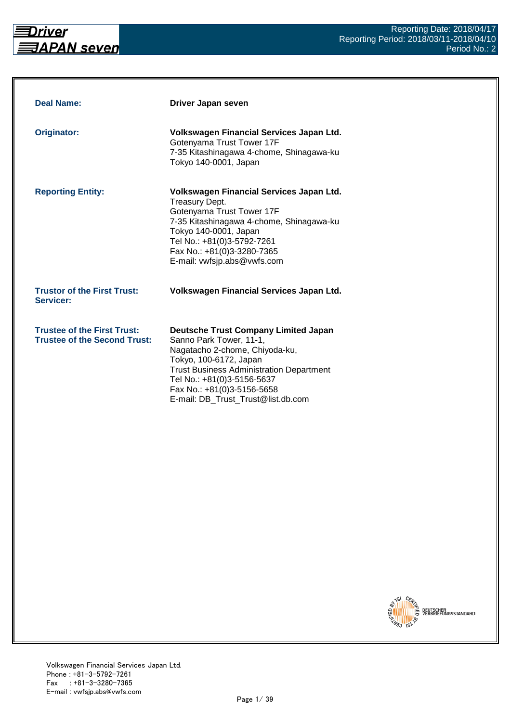

| <b>Deal Name:</b>                                                         | Driver Japan seven                                                                                                                                                                                                                                                                      |
|---------------------------------------------------------------------------|-----------------------------------------------------------------------------------------------------------------------------------------------------------------------------------------------------------------------------------------------------------------------------------------|
| Originator:                                                               | Volkswagen Financial Services Japan Ltd.<br>Gotenyama Trust Tower 17F<br>7-35 Kitashinagawa 4-chome, Shinagawa-ku<br>Tokyo 140-0001, Japan                                                                                                                                              |
| <b>Reporting Entity:</b>                                                  | Volkswagen Financial Services Japan Ltd.<br>Treasury Dept.<br>Gotenyama Trust Tower 17F<br>7-35 Kitashinagawa 4-chome, Shinagawa-ku<br>Tokyo 140-0001, Japan<br>Tel No.: +81(0)3-5792-7261<br>Fax No.: +81(0)3-3280-7365<br>E-mail: vwfsjp.abs@vwfs.com                                 |
| <b>Trustor of the First Trust:</b><br>Servicer:                           | Volkswagen Financial Services Japan Ltd.                                                                                                                                                                                                                                                |
| <b>Trustee of the First Trust:</b><br><b>Trustee of the Second Trust:</b> | <b>Deutsche Trust Company Limited Japan</b><br>Sanno Park Tower, 11-1,<br>Nagatacho 2-chome, Chiyoda-ku,<br>Tokyo, 100-6172, Japan<br><b>Trust Business Administration Department</b><br>Tel No.: +81(0)3-5156-5637<br>Fax No.: +81(0)3-5156-5658<br>E-mail: DB_Trust_Trust@list.db.com |

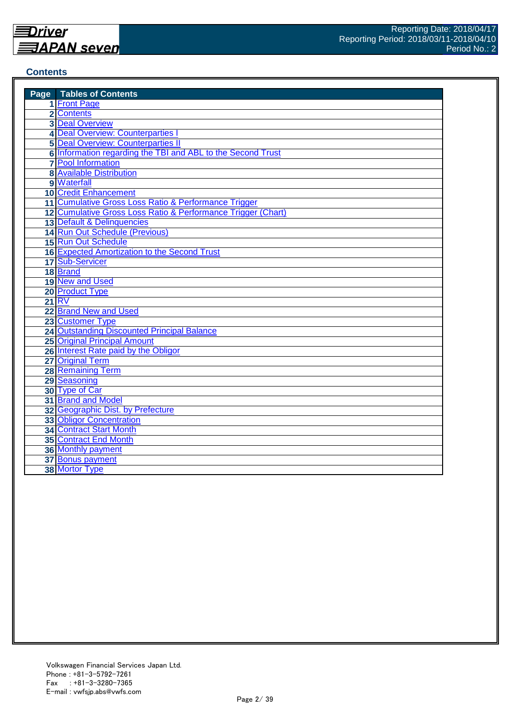#### **Contents**

| <b>Page</b> Tables of Contents                               |
|--------------------------------------------------------------|
| 1 Front Page                                                 |
| 2 Contents                                                   |
| <b>3 Deal Overview</b>                                       |
| 4 Deal Overview: Counterparties                              |
| <b>5 Deal Overview: Counterparties II</b>                    |
| 6 Information regarding the TBI and ABL to the Second Trust  |
| <b>7</b> Pool Information                                    |
| <b>8 Available Distribution</b>                              |
| 9 Waterfall                                                  |
| <b>10 Credit Enhancement</b>                                 |
| 11 Cumulative Gross Loss Ratio & Performance Trigger         |
| 12 Cumulative Gross Loss Ratio & Performance Trigger (Chart) |
| 13 Default & Delinquencies                                   |
| 14 Run Out Schedule (Previous)                               |
| 15 Run Out Schedule                                          |
| 16 Expected Amortization to the Second Trust                 |
| 17 Sub-Servicer                                              |
| 18 Brand                                                     |
| 19 New and Used                                              |
| 20 Product Type                                              |
| <b>21 RV</b>                                                 |
| 22 Brand New and Used                                        |
| 23 Customer Type                                             |
| <b>24 Outstanding Discounted Principal Balance</b>           |
| <b>25 Original Principal Amount</b>                          |
| 26 Interest Rate paid by the Obligor                         |
| 27 Original Term                                             |
| <b>28 Remaining Term</b>                                     |
| 29 Seasoning                                                 |
| 30 Type of Car                                               |
| 31 Brand and Model                                           |
| 32 Geographic Dist. by Prefecture                            |
| <b>33 Obligor Concentration</b>                              |
| <b>34 Contract Start Month</b>                               |
| <b>35 Contract End Month</b>                                 |
| 36 Monthly payment                                           |
| 37 Bonus payment                                             |
| 38 Mortor Type                                               |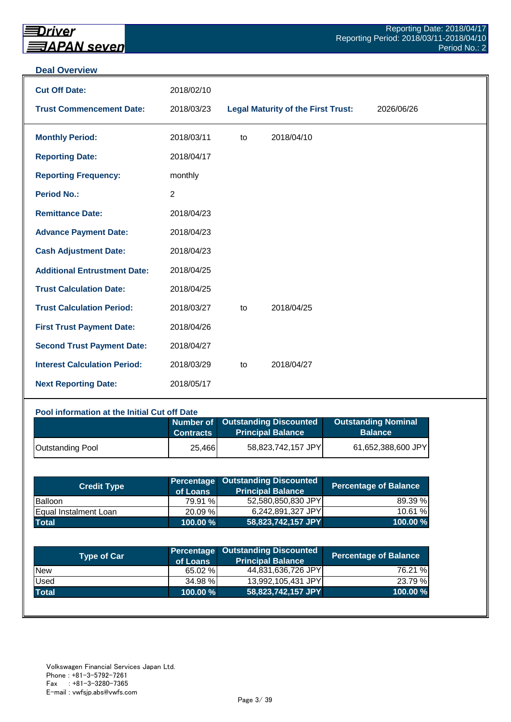#### **Deal Overview**

| <b>Cut Off Date:</b>                | 2018/02/10     |    |                                           |            |
|-------------------------------------|----------------|----|-------------------------------------------|------------|
| <b>Trust Commencement Date:</b>     | 2018/03/23     |    | <b>Legal Maturity of the First Trust:</b> | 2026/06/26 |
| <b>Monthly Period:</b>              | 2018/03/11     | to | 2018/04/10                                |            |
| <b>Reporting Date:</b>              | 2018/04/17     |    |                                           |            |
| <b>Reporting Frequency:</b>         | monthly        |    |                                           |            |
| <b>Period No.:</b>                  | $\overline{2}$ |    |                                           |            |
| <b>Remittance Date:</b>             | 2018/04/23     |    |                                           |            |
| <b>Advance Payment Date:</b>        | 2018/04/23     |    |                                           |            |
| <b>Cash Adjustment Date:</b>        | 2018/04/23     |    |                                           |            |
| <b>Additional Entrustment Date:</b> | 2018/04/25     |    |                                           |            |
| <b>Trust Calculation Date:</b>      | 2018/04/25     |    |                                           |            |
| <b>Trust Calculation Period:</b>    | 2018/03/27     | to | 2018/04/25                                |            |
| <b>First Trust Payment Date:</b>    | 2018/04/26     |    |                                           |            |
| <b>Second Trust Payment Date:</b>   | 2018/04/27     |    |                                           |            |
| <b>Interest Calculation Period:</b> | 2018/03/29     | to | 2018/04/27                                |            |
| <b>Next Reporting Date:</b>         | 2018/05/17     |    |                                           |            |

#### **Pool information at the Initial Cut off Date**

|                         | <b>Contracts</b> | Number of Outstanding Discounted<br>Principal Balance | <b>Outstanding Nominal</b><br><b>Balance</b> |
|-------------------------|------------------|-------------------------------------------------------|----------------------------------------------|
| <b>Outstanding Pool</b> | 25,466           | 58,823,742,157 JPY                                    | 61,652,388,600 JPY                           |

| <b>Credit Type</b>           | of Loans    | <b>Percentage Outstanding Discounted</b><br><b>Principal Balance</b> | <b>Percentage of Balance</b> |
|------------------------------|-------------|----------------------------------------------------------------------|------------------------------|
| Balloon                      | 79.91 %     | 52,580,850,830 JPY                                                   | 89.39 %                      |
| <b>Equal Instalment Loan</b> | 20.09 %     | 6,242,891,327 JPY                                                    | 10.61 %                      |
| <b>Total</b>                 | $100.00 \%$ | 58,823,742,157 JPY                                                   | 100.00 %                     |

| <b>Type of Car</b> | of Loans | <b>Percentage Outstanding Discounted</b><br><b>Principal Balance</b> | <b>Percentage of Balance</b> |
|--------------------|----------|----------------------------------------------------------------------|------------------------------|
| <b>New</b>         | 65.02 %  | 44,831,636,726 JPY                                                   | 76.21 %                      |
| Used               | 34.98 %  | 13,992,105,431 JPY                                                   | 23.79 %                      |
| <b>Total</b>       | 100.00 % | 58,823,742,157 JPY                                                   | 100.00%                      |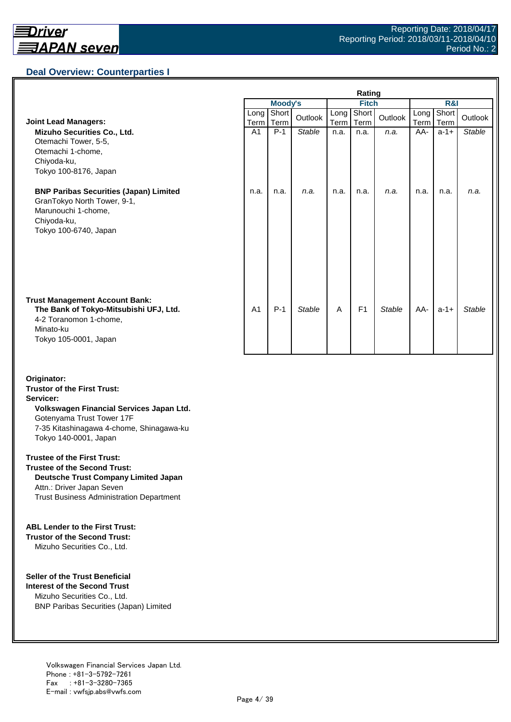

## **Deal Overview: Counterparties I**

|                                                                                                                                                 | Rating         |                |               |              |                |               |              |               |               |
|-------------------------------------------------------------------------------------------------------------------------------------------------|----------------|----------------|---------------|--------------|----------------|---------------|--------------|---------------|---------------|
|                                                                                                                                                 |                | <b>Moody's</b> |               | <b>Fitch</b> |                |               | R&I          |               |               |
| <b>Joint Lead Managers:</b>                                                                                                                     | Long<br>Term   | Short<br>Term  | Outlook       | Long<br>Term | Short<br>Term  | Outlook       | Long<br>Term | Short<br>Term | Outlook       |
| Mizuho Securities Co., Ltd.<br>Otemachi Tower, 5-5,<br>Otemachi 1-chome,<br>Chiyoda-ku,<br>Tokyo 100-8176, Japan                                | A1             | $P-1$          | <b>Stable</b> | n.a.         | n.a.           | n.a.          | AA-          | $a-1+$        | <b>Stable</b> |
| <b>BNP Paribas Securities (Japan) Limited</b><br>GranTokyo North Tower, 9-1,<br>Marunouchi 1-chome,<br>Chiyoda-ku,<br>Tokyo 100-6740, Japan     | n.a.           | n.a.           | n.a.          | n.a.         | n.a.           | n.a.          | n.a.         | n.a.          | n.a.          |
| <b>Trust Management Account Bank:</b><br>The Bank of Tokyo-Mitsubishi UFJ, Ltd.<br>4-2 Toranomon 1-chome,<br>Minato-ku<br>Tokyo 105-0001, Japan | A <sub>1</sub> | $P-1$          | <b>Stable</b> | A            | F <sub>1</sub> | <b>Stable</b> | AA-          | $a-1+$        | <b>Stable</b> |

#### **Originator: Trustor of the First Trust:**

#### **Servicer: Volkswagen Financial Services Japan Ltd.**

Gotenyama Trust Tower 17F 7-35 Kitashinagawa 4-chome, Shinagawa-ku Tokyo 140-0001, Japan

#### **Trustee of the First Trust:**

**Trustee of the Second Trust: Deutsche Trust Company Limited Japan** Attn.: Driver Japan Seven Trust Business Administration Department

#### **ABL Lender to the First Trust:**

**Trustor of the Second Trust:** Mizuho Securities Co., Ltd.

#### **Seller of the Trust Beneficial**

**Interest of the Second Trust** Mizuho Securities Co., Ltd. BNP Paribas Securities (Japan) Limited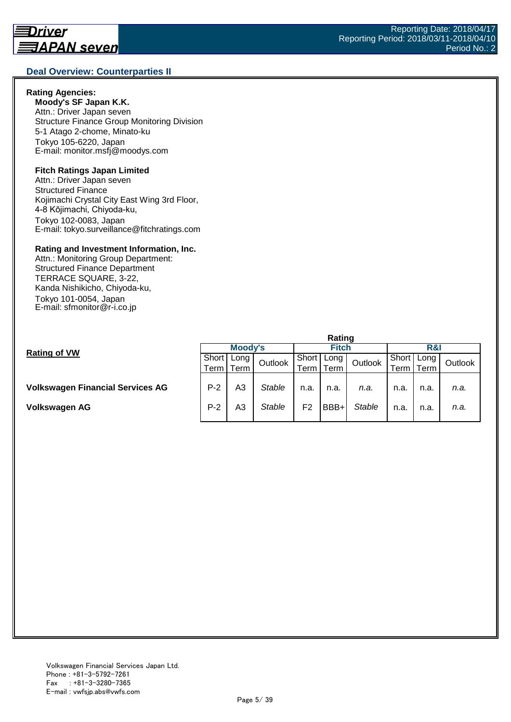#### **Deal Overview: Counterparties II**

#### **Rating Agencies:**

**Moody's SF Japan K.K.** Attn.: Driver Japan seven Structure Finance Group Monitoring Division 5-1 Atago 2-chome, Minato-ku Tokyo 105-6220, Japan E-mail: monitor.msfj@moodys.com

#### **Fitch Ratings Japan Limited**

Attn.: Driver Japan seven Structured Finance Kojimachi Crystal City East Wing 3rd Floor, 4-8 Kōjimachi, Chiyoda-ku, Tokyo 102-0083, Japan E-mail: tokyo.surveillance@fitchratings.com

#### **Rating and Investment Information, Inc.**

Attn.: Monitoring Group Department: Structured Finance Department TERRACE SQUARE, 3-22, Kanda Nishikicho, Chiyoda-ku, Tokyo 101-0054, Japan E-mail: sfmonitor@r-i.co.jp

|                                         | Rating  |                |               |       |      |               |        |      |         |  |
|-----------------------------------------|---------|----------------|---------------|-------|------|---------------|--------|------|---------|--|
| <b>Rating of VW</b>                     | Moody's |                |               | Fitch |      |               | R&I    |      |         |  |
|                                         | Short   | Long           | Outlook       | Short | Long | Outlook       | Short  | Long | Outlook |  |
|                                         | Term I  | Term           |               | lerm  | Term |               | ⊺erm I | Term |         |  |
|                                         |         |                |               |       |      |               |        |      |         |  |
| <b>Volkswagen Financial Services AG</b> | $P-2$   | A <sub>3</sub> | <b>Stable</b> | n.a.  | n.a. | n.a.          | n.a.   | n.a. | n.a.    |  |
| <b>Volkswagen AG</b>                    | $P-2$   | A3             | <b>Stable</b> | F2    | BBB+ | <b>Stable</b> | n.a.   | n.a. | n.a.    |  |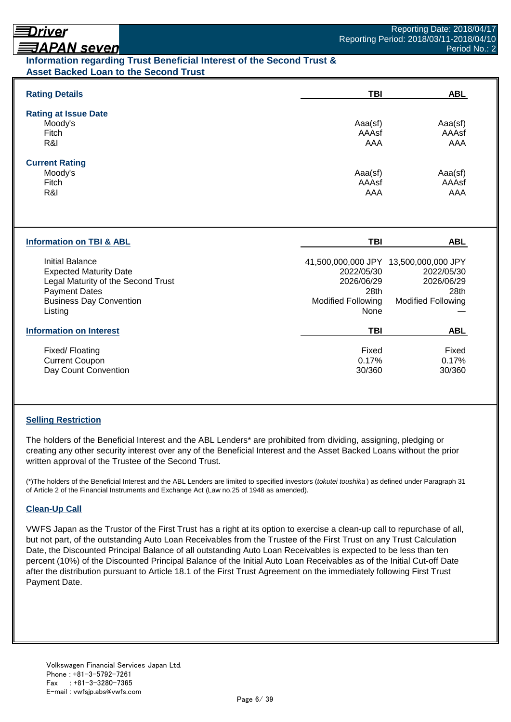# Driver

# **ヨAPAN seven**

## **Information regarding Trust Beneficial Interest of the Second Trust & Asset Backed Loan to the Second Trust**

| <b>Rating Details</b>                                                                                                                                              | TBI                                                                   | <b>ABL</b>                                                                                             |
|--------------------------------------------------------------------------------------------------------------------------------------------------------------------|-----------------------------------------------------------------------|--------------------------------------------------------------------------------------------------------|
| <b>Rating at Issue Date</b><br>Moody's<br>Fitch<br>R&I                                                                                                             | Aaa(sf)<br>AAAsf<br>AAA                                               | Aaa(sf)<br>AAAsf<br>AAA                                                                                |
| <b>Current Rating</b><br>Moody's<br>Fitch<br>R&I                                                                                                                   | Aaa(sf)<br>AAAsf<br>AAA                                               | Aaa(sf)<br>AAAsf<br>AAA                                                                                |
| <b>Information on TBI &amp; ABL</b>                                                                                                                                | <b>TBI</b>                                                            | <b>ABL</b>                                                                                             |
| <b>Initial Balance</b><br><b>Expected Maturity Date</b><br>Legal Maturity of the Second Trust<br><b>Payment Dates</b><br><b>Business Day Convention</b><br>Listing | 2022/05/30<br>2026/06/29<br>28th<br><b>Modified Following</b><br>None | 41,500,000,000 JPY 13,500,000,000 JPY<br>2022/05/30<br>2026/06/29<br>28th<br><b>Modified Following</b> |
| <b>Information on Interest</b>                                                                                                                                     | <b>TBI</b>                                                            | <b>ABL</b>                                                                                             |
| Fixed/Floating<br><b>Current Coupon</b><br>Day Count Convention                                                                                                    | Fixed<br>0.17%<br>30/360                                              | Fixed<br>0.17%<br>30/360                                                                               |

## **Selling Restriction**

The holders of the Beneficial Interest and the ABL Lenders\* are prohibited from dividing, assigning, pledging or creating any other security interest over any of the Beneficial Interest and the Asset Backed Loans without the prior written approval of the Trustee of the Second Trust.

(\*)The holders of the Beneficial Interest and the ABL Lenders are limited to specified investors (*tokutei toushika* ) as defined under Paragraph 31 of Article 2 of the Financial Instruments and Exchange Act (Law no.25 of 1948 as amended).

## **Clean-Up Call**

VWFS Japan as the Trustor of the First Trust has a right at its option to exercise a clean-up call to repurchase of all, but not part, of the outstanding Auto Loan Receivables from the Trustee of the First Trust on any Trust Calculation Date, the Discounted Principal Balance of all outstanding Auto Loan Receivables is expected to be less than ten percent (10%) of the Discounted Principal Balance of the Initial Auto Loan Receivables as of the Initial Cut-off Date after the distribution pursuant to Article 18.1 of the First Trust Agreement on the immediately following First Trust Payment Date.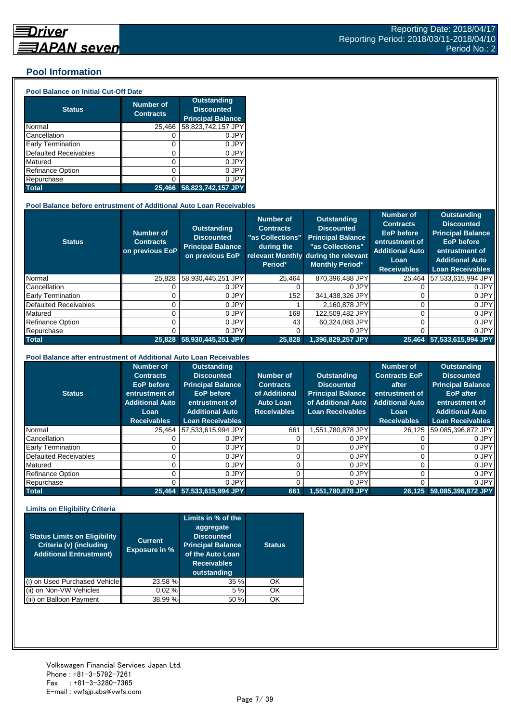## **Pool Information**

#### **Pool Balance on Initial Cut-Off Date**

| <b>Status</b>                | <b>Number of</b><br><b>Contracts</b> | <b>Outstanding</b><br><b>Discounted</b><br><b>Principal Balance</b> |
|------------------------------|--------------------------------------|---------------------------------------------------------------------|
| Normal                       | 25,466                               | 58,823,742,157 JPY                                                  |
| Cancellation                 | O                                    | 0 JPY                                                               |
| Early Termination            | 0                                    | 0 JPY                                                               |
| <b>Defaulted Receivables</b> | 0                                    | 0 JPY                                                               |
| Matured                      | ი                                    | 0 JPY                                                               |
| <b>Refinance Option</b>      | ი                                    | 0 JPY                                                               |
| Repurchase                   | ი                                    | 0 JPY                                                               |
| <b>Total</b>                 | 25.466                               | 58,823,742,157 JPY                                                  |

#### **Pool Balance before entrustment of Additional Auto Loan Receivables**

| <b>Status</b>                | <b>Number of</b><br><b>Contracts</b><br>on previous EoP | <b>Outstanding</b><br><b>Discounted</b><br><b>Principal Balance</b><br>on previous EoP | <b>Number of</b><br><b>Contracts</b><br>"as Collections"<br>during the<br>Period* | <b>Outstanding</b><br><b>Discounted</b><br><b>Principal Balance</b><br>"as Collections"<br>relevant Monthly during the relevant<br><b>Monthly Period*</b> | <b>Number of</b><br><b>Contracts</b><br><b>EoP</b> before<br>entrustment of<br><b>Additional Auto</b><br>Loan<br><b>Receivables</b> | <b>Outstanding</b><br><b>Discounted</b><br><b>Principal Balance</b><br><b>EoP</b> before<br>entrustment of<br><b>Additional Auto</b><br><b>Loan Receivables</b> |
|------------------------------|---------------------------------------------------------|----------------------------------------------------------------------------------------|-----------------------------------------------------------------------------------|-----------------------------------------------------------------------------------------------------------------------------------------------------------|-------------------------------------------------------------------------------------------------------------------------------------|-----------------------------------------------------------------------------------------------------------------------------------------------------------------|
| Normal                       | 25,828                                                  | 58,930,445,251 JPY                                                                     | 25.464                                                                            | 870,396,488 JPY                                                                                                                                           | 25.464                                                                                                                              | 57,533,615,994 JPY                                                                                                                                              |
| Cancellation                 |                                                         | 0 JPY                                                                                  |                                                                                   | 0 JPY                                                                                                                                                     |                                                                                                                                     | 0 JPY                                                                                                                                                           |
| <b>Early Termination</b>     |                                                         | 0 JPY                                                                                  | 152                                                                               | 341,438,326 JPY                                                                                                                                           |                                                                                                                                     | 0 JPY                                                                                                                                                           |
| <b>Defaulted Receivables</b> |                                                         | 0 JPY                                                                                  |                                                                                   | 2.160.878 JPY                                                                                                                                             |                                                                                                                                     | 0 JPY                                                                                                                                                           |
| Matured                      |                                                         | 0 JPY                                                                                  | 168                                                                               | 122,509,482 JPY                                                                                                                                           |                                                                                                                                     | 0 JPY                                                                                                                                                           |
| <b>Refinance Option</b>      |                                                         | 0 JPY                                                                                  | 43                                                                                | 60.324.083 JPY                                                                                                                                            |                                                                                                                                     | 0 JPY                                                                                                                                                           |
| Repurchase                   |                                                         | 0 JPY                                                                                  |                                                                                   | 0 JPY                                                                                                                                                     |                                                                                                                                     | 0 JPY                                                                                                                                                           |
| <b>Total</b>                 | 25.828                                                  | 58.930.445.251 JPY                                                                     | 25,828                                                                            | 1,396,829,257 JPY                                                                                                                                         |                                                                                                                                     | 25.464 57.533.615.994 JPY                                                                                                                                       |

#### **Pool Balance after entrustment of Additional Auto Loan Receivables**

| <b>Status</b>            | <b>Number of</b><br><b>Contracts</b><br><b>EoP</b> before<br>entrustment of<br><b>Additional Auto</b><br>Loan<br><b>Receivables</b> | <b>Outstanding</b><br><b>Discounted</b><br><b>Principal Balance</b><br><b>EoP</b> before<br>entrustment of<br><b>Additional Auto</b><br><b>Loan Receivables</b> | Number of<br><b>Contracts</b><br>of Additional<br><b>Auto Loan</b><br><b>Receivables</b> | <b>Outstanding</b><br><b>Discounted</b><br><b>Principal Balance</b><br>of Additional Auto<br><b>Loan Receivables</b> | <b>Number of</b><br><b>Contracts EoP</b><br>after<br>entrustment of<br><b>Additional Auto</b><br>Loan<br><b>Receivables</b> | <b>Outstanding</b><br><b>Discounted</b><br><b>Principal Balance</b><br><b>EoP</b> after<br>entrustment of<br><b>Additional Auto</b><br><b>Loan Receivables</b> |
|--------------------------|-------------------------------------------------------------------------------------------------------------------------------------|-----------------------------------------------------------------------------------------------------------------------------------------------------------------|------------------------------------------------------------------------------------------|----------------------------------------------------------------------------------------------------------------------|-----------------------------------------------------------------------------------------------------------------------------|----------------------------------------------------------------------------------------------------------------------------------------------------------------|
| Normal                   | 25.464                                                                                                                              | 57,533,615,994 JPY                                                                                                                                              | 661                                                                                      | 1,551,780,878 JPY                                                                                                    | 26.125                                                                                                                      | 59,085,396,872 JPY                                                                                                                                             |
| Cancellation             |                                                                                                                                     | 0 JPY                                                                                                                                                           |                                                                                          | 0 JPY                                                                                                                |                                                                                                                             | 0 JPY                                                                                                                                                          |
| <b>Early Termination</b> |                                                                                                                                     | 0 JPY                                                                                                                                                           |                                                                                          | 0 JPY                                                                                                                |                                                                                                                             | 0 JPY                                                                                                                                                          |
| Defaulted Receivables    |                                                                                                                                     | 0 JPY                                                                                                                                                           |                                                                                          | 0 JPY                                                                                                                |                                                                                                                             | 0 JPY                                                                                                                                                          |
| Matured                  |                                                                                                                                     | 0 JPY                                                                                                                                                           |                                                                                          | 0 JPY                                                                                                                |                                                                                                                             | 0 JPY                                                                                                                                                          |
| <b>Refinance Option</b>  |                                                                                                                                     | 0 JPY                                                                                                                                                           |                                                                                          | 0 JPY                                                                                                                |                                                                                                                             | 0 JPY                                                                                                                                                          |
| Repurchase               |                                                                                                                                     | 0 JPY                                                                                                                                                           |                                                                                          | 0 JPY                                                                                                                |                                                                                                                             | 0 JPY                                                                                                                                                          |
| <b>Total</b>             |                                                                                                                                     | 25,464 57,533,615,994 JPY                                                                                                                                       | 661                                                                                      | 1.551.780.878 JPY                                                                                                    |                                                                                                                             | 26,125 59,085,396,872 JPY                                                                                                                                      |

#### **Limits on Eligibility Criteria**

| <b>Status Limits on Eligibility</b><br>Criteria (v) (including<br><b>Additional Entrustment)</b> | <b>Current</b><br><b>Exposure in %</b> | Limits in $\%$ of the<br>aggregate<br><b>Discounted</b><br><b>Principal Balance</b><br>of the Auto Loan<br><b>Receivables</b><br>outstanding | <b>Status</b> |
|--------------------------------------------------------------------------------------------------|----------------------------------------|----------------------------------------------------------------------------------------------------------------------------------------------|---------------|
| on Used Purchased Vehicle                                                                        | 23.58 %                                | 35%                                                                                                                                          | OK            |
| on Non-VW Vehicles                                                                               | 0.02%                                  | 5 %                                                                                                                                          | OK            |
| on Balloon Payment                                                                               | 38.99 %                                | 50 %                                                                                                                                         | OK            |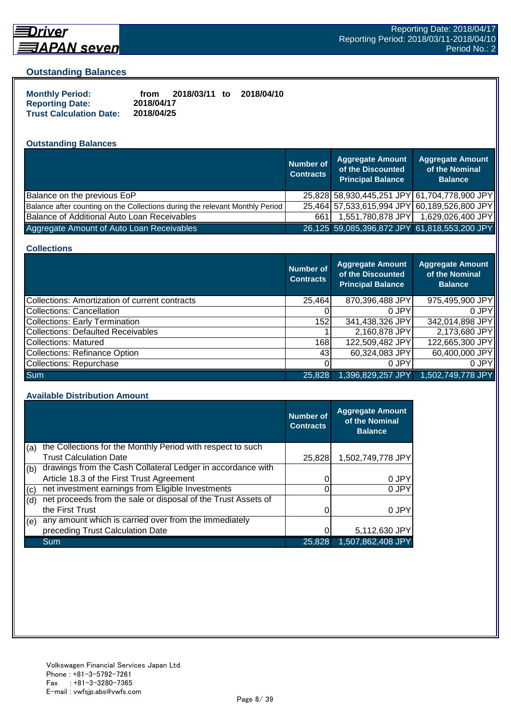

## **Driver** <u> 司APAN seven</u>

#### **Outstanding Balances**

| <b>Monthly Period:</b>         | 2018/03/11 to<br>2018/04/10<br>from |  |
|--------------------------------|-------------------------------------|--|
| <b>Reporting Date:</b>         | 2018/04/17                          |  |
| <b>Trust Calculation Date:</b> | 2018/04/25                          |  |

## **Outstanding Balances**

|                                                                              | <b>Number of</b><br><b>Contracts</b> | <b>Aggregate Amount</b><br>of the Discounted<br><b>Principal Balance</b> | <b>Aggregate Amount</b><br>of the Nominal<br><b>Balance</b> |
|------------------------------------------------------------------------------|--------------------------------------|--------------------------------------------------------------------------|-------------------------------------------------------------|
| Balance on the previous EoP                                                  |                                      |                                                                          | 25,828 58,930,445,251 JPY 61,704,778,900 JPY                |
| Balance after counting on the Collections during the relevant Monthly Period |                                      |                                                                          | 25,464 57,533,615,994 JPY 60,189,526,800 JPY                |
| Balance of Additional Auto Loan Receivables                                  | 661                                  | 1,551,780,878 JPY                                                        | 1,629,026,400 JPY                                           |
| Aggregate Amount of Auto Loan Receivables                                    |                                      |                                                                          | 26,125 59,085,396,872 JPY 61,818,553,200 JPY                |

#### **Collections**

|                                                | Number of<br><b>Contracts</b> | <b>Aggregate Amount</b><br>of the Discounted<br><b>Principal Balance</b> | <b>Aggregate Amount</b><br>of the Nominal<br><b>Balance</b> |
|------------------------------------------------|-------------------------------|--------------------------------------------------------------------------|-------------------------------------------------------------|
| Collections: Amortization of current contracts | 25,464                        | 870,396,488 JPY                                                          | 975,495,900 JPY                                             |
| <b>Collections: Cancellation</b>               |                               | 0 JPY                                                                    | 0 JPY                                                       |
| <b>Collections: Early Termination</b>          | 152                           | 341,438,326 JPY                                                          | 342,014,898 JPY                                             |
| <b>Collections: Defaulted Receivables</b>      |                               | 2,160,878 JPY                                                            | 2,173,680 JPY                                               |
| Collections: Matured                           | 168                           | 122,509,482 JPY                                                          | 122,665,300 JPY                                             |
| <b>Collections: Refinance Option</b>           | 431                           | 60,324,083 JPY                                                           | 60,400,000 JPY                                              |
| Collections: Repurchase                        |                               | 0 JPY                                                                    | 0 JPY                                                       |
| <b>Sum</b>                                     | 25.828                        | 1,396,829,257 JPY                                                        | $1,502,749,778$ JPY                                         |

#### **Available Distribution Amount**

|     |                                                               | <b>Number of</b><br><b>Contracts</b> | <b>Aggregate Amount</b><br>of the Nominal<br><b>Balance</b> |
|-----|---------------------------------------------------------------|--------------------------------------|-------------------------------------------------------------|
| (a) | the Collections for the Monthly Period with respect to such   |                                      |                                                             |
|     | <b>Trust Calculation Date</b>                                 | 25,828                               | 1,502,749,778 JPY                                           |
| (b) | drawings from the Cash Collateral Ledger in accordance with   |                                      |                                                             |
|     | Article 18.3 of the First Trust Agreement                     |                                      | 0 JPY                                                       |
| (c) | net investment earnings from Eligible Investments             |                                      | 0 JPY                                                       |
| (d) | net proceeds from the sale or disposal of the Trust Assets of |                                      |                                                             |
|     | the First Trust                                               |                                      | 0 JPY                                                       |
| (e) | any amount which is carried over from the immediately         |                                      |                                                             |
|     | preceding Trust Calculation Date                              |                                      | 5,112,630 JPY                                               |
|     | Sum                                                           | 25,828                               | 1,507,862,408 JPY                                           |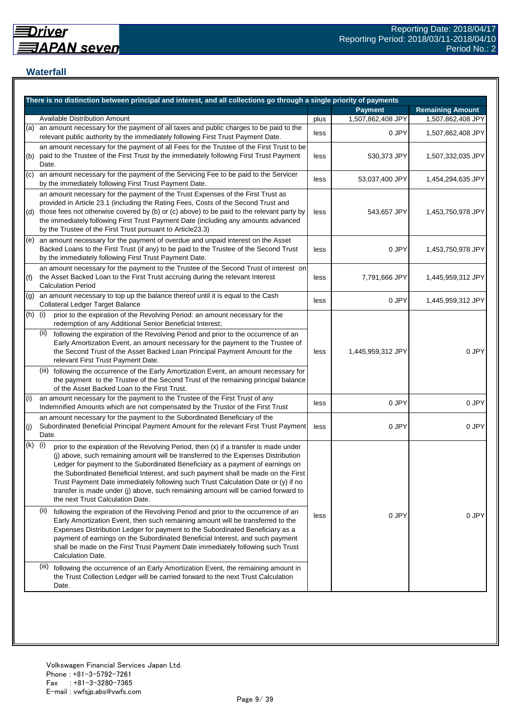## **Waterfall**

|     | There is no distinction between principal and interest, and all collections go through a single priority of payments                                                                                                                                                                                                                                                                                                                                                                                                                                                    |      |                   |                         |
|-----|-------------------------------------------------------------------------------------------------------------------------------------------------------------------------------------------------------------------------------------------------------------------------------------------------------------------------------------------------------------------------------------------------------------------------------------------------------------------------------------------------------------------------------------------------------------------------|------|-------------------|-------------------------|
|     |                                                                                                                                                                                                                                                                                                                                                                                                                                                                                                                                                                         |      | <b>Payment</b>    | <b>Remaining Amount</b> |
|     | <b>Available Distribution Amount</b>                                                                                                                                                                                                                                                                                                                                                                                                                                                                                                                                    | plus | 1,507,862,408 JPY | 1,507,862,408 JPY       |
| (a) | an amount necessary for the payment of all taxes and public charges to be paid to the<br>relevant public authority by the immediately following First Trust Payment Date.                                                                                                                                                                                                                                                                                                                                                                                               | less | 0 JPY             | 1,507,862,408 JPY       |
| (b) | an amount necessary for the payment of all Fees for the Trustee of the First Trust to be<br>paid to the Trustee of the First Trust by the immediately following First Trust Payment<br>Date.                                                                                                                                                                                                                                                                                                                                                                            | less | 530,373 JPY       | 1,507,332,035 JPY       |
| (c) | an amount necessary for the payment of the Servicing Fee to be paid to the Servicer<br>by the immediately following First Trust Payment Date.                                                                                                                                                                                                                                                                                                                                                                                                                           | less | 53,037,400 JPY    | 1,454,294,635 JPY       |
| (d) | an amount necessary for the payment of the Trust Expenses of the First Trust as<br>provided in Article 23.1 (including the Rating Fees, Costs of the Second Trust and<br>those fees not otherwise covered by (b) or (c) above) to be paid to the relevant party by<br>the immediately following First Trust Payment Date (including any amounts advanced<br>by the Trustee of the First Trust pursuant to Article23.3)                                                                                                                                                  | less | 543,657 JPY       | 1,453,750,978 JPY       |
| (e) | an amount necessary for the payment of overdue and unpaid interest on the Asset<br>Backed Loans to the First Trust (if any) to be paid to the Trustee of the Second Trust<br>by the immediately following First Trust Payment Date.                                                                                                                                                                                                                                                                                                                                     | less | 0 JPY             | 1,453,750,978 JPY       |
| (f) | an amount necessary for the payment to the Trustee of the Second Trust of interest on<br>the Asset Backed Loan to the First Trust accruing during the relevant Interest<br><b>Calculation Period</b>                                                                                                                                                                                                                                                                                                                                                                    | less | 7,791,666 JPY     | 1,445,959,312 JPY       |
| (g) | an amount necessary to top up the balance thereof until it is equal to the Cash<br>Collateral Ledger Target Balance                                                                                                                                                                                                                                                                                                                                                                                                                                                     | less | 0 JPY             | 1,445,959,312 JPY       |
| (h) | (i)<br>prior to the expiration of the Revolving Period: an amount necessary for the<br>redemption of any Additional Senior Beneficial Interest;                                                                                                                                                                                                                                                                                                                                                                                                                         |      |                   |                         |
|     | (ii)<br>following the expiration of the Revolving Period and prior to the occurrence of an<br>Early Amortization Event, an amount necessary for the payment to the Trustee of<br>the Second Trust of the Asset Backed Loan Principal Payment Amount for the<br>relevant First Trust Payment Date.                                                                                                                                                                                                                                                                       | less | 1,445,959,312 JPY | 0 JPY                   |
|     | (iii) following the occurrence of the Early Amortization Event, an amount necessary for<br>the payment to the Trustee of the Second Trust of the remaining principal balance<br>of the Asset Backed Loan to the First Trust.                                                                                                                                                                                                                                                                                                                                            |      |                   |                         |
| (i) | an amount necessary for the payment to the Trustee of the First Trust of any<br>Indemnified Amounts which are not compensated by the Trustor of the First Trust                                                                                                                                                                                                                                                                                                                                                                                                         | less | 0 JPY             | 0 JPY                   |
| (j) | an amount necessary for the payment to the Subordinated Beneficiary of the<br>Subordinated Beneficial Principal Payment Amount for the relevant First Trust Payment<br>Date.                                                                                                                                                                                                                                                                                                                                                                                            | less | 0 JPY             | 0 JPY                   |
| (k) | (i)<br>prior to the expiration of the Revolving Period, then (x) if a transfer is made under<br>(j) above, such remaining amount will be transferred to the Expenses Distribution<br>Ledger for payment to the Subordinated Beneficiary as a payment of earnings on<br>the Subordinated Beneficial Interest, and such payment shall be made on the First<br>Trust Payment Date immediately following such Trust Calculation Date or (y) if no<br>transfer is made under (j) above, such remaining amount will be carried forward to<br>the next Trust Calculation Date. |      |                   |                         |
|     | (ii)<br>following the expiration of the Revolving Period and prior to the occurrence of an<br>Early Amortization Event, then such remaining amount will be transferred to the<br>Expenses Distribution Ledger for payment to the Subordinated Beneficiary as a<br>payment of earnings on the Subordinated Beneficial Interest, and such payment<br>shall be made on the First Trust Payment Date immediately following such Trust<br>Calculation Date.                                                                                                                  | less | 0 JPY             | 0 JPY                   |
|     | (iii)<br>following the occurrence of an Early Amortization Event, the remaining amount in<br>the Trust Collection Ledger will be carried forward to the next Trust Calculation<br>Date.                                                                                                                                                                                                                                                                                                                                                                                 |      |                   |                         |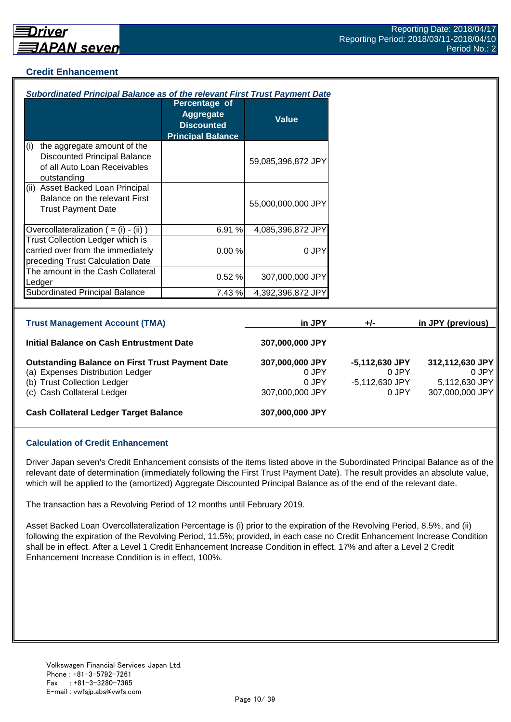## **Credit Enhancement**

| <b>Subordinated Principal Balance as of the relevant First Trust Payment Date</b>                                                                       |                                                                             |                                                      |                                                    |                                                              |  |  |
|---------------------------------------------------------------------------------------------------------------------------------------------------------|-----------------------------------------------------------------------------|------------------------------------------------------|----------------------------------------------------|--------------------------------------------------------------|--|--|
|                                                                                                                                                         | Percentage of<br>Aggregate<br><b>Discounted</b><br><b>Principal Balance</b> | <b>Value</b>                                         |                                                    |                                                              |  |  |
| the aggregate amount of the<br>(i)<br><b>Discounted Principal Balance</b><br>of all Auto Loan Receivables<br>outstanding                                |                                                                             | 59,085,396,872 JPY                                   |                                                    |                                                              |  |  |
| (ii) Asset Backed Loan Principal<br>Balance on the relevant First<br><b>Trust Payment Date</b>                                                          |                                                                             | 55,000,000,000 JPY                                   |                                                    |                                                              |  |  |
| Overcollateralization $( = (i) - (ii))$                                                                                                                 | 6.91%                                                                       | 4,085,396,872 JPY                                    |                                                    |                                                              |  |  |
| Trust Collection Ledger which is<br>carried over from the immediately<br>preceding Trust Calculation Date                                               | 0.00%                                                                       | 0 JPY                                                |                                                    |                                                              |  |  |
| The amount in the Cash Collateral<br>Ledger                                                                                                             | 0.52%                                                                       | 307,000,000 JPY                                      |                                                    |                                                              |  |  |
| <b>Subordinated Principal Balance</b>                                                                                                                   | 7.43 %                                                                      | 4,392,396,872 JPY                                    |                                                    |                                                              |  |  |
|                                                                                                                                                         |                                                                             |                                                      |                                                    |                                                              |  |  |
| <b>Trust Management Account (TMA)</b>                                                                                                                   |                                                                             | in JPY                                               | $+/-$                                              | in JPY (previous)                                            |  |  |
| Initial Balance on Cash Entrustment Date                                                                                                                |                                                                             | 307,000,000 JPY                                      |                                                    |                                                              |  |  |
| <b>Outstanding Balance on First Trust Payment Date</b><br>(a) Expenses Distribution Ledger<br>(b) Trust Collection Ledger<br>(c) Cash Collateral Ledger |                                                                             | 307,000,000 JPY<br>0 JPY<br>0 JPY<br>307,000,000 JPY | -5,112,630 JPY<br>0 JPY<br>-5,112,630 JPY<br>0 JPY | 312,112,630 JPY<br>0 JPY<br>5,112,630 JPY<br>307,000,000 JPY |  |  |

# **Cash Collateral Ledger Target Balance 307,000,000 JPY**

#### **Calculation of Credit Enhancement**

Driver Japan seven's Credit Enhancement consists of the items listed above in the Subordinated Principal Balance as of the relevant date of determination (immediately following the First Trust Payment Date). The result provides an absolute value, which will be applied to the (amortized) Aggregate Discounted Principal Balance as of the end of the relevant date.

The transaction has a Revolving Period of 12 months until February 2019.

Asset Backed Loan Overcollateralization Percentage is (i) prior to the expiration of the Revolving Period, 8.5%, and (ii) following the expiration of the Revolving Period, 11.5%; provided, in each case no Credit Enhancement Increase Condition shall be in effect. After a Level 1 Credit Enhancement Increase Condition in effect, 17% and after a Level 2 Credit Enhancement Increase Condition is in effect, 100%.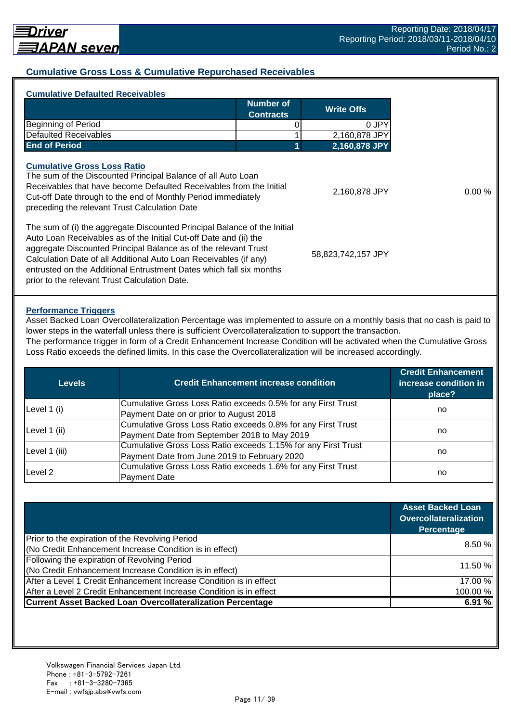## **Cumulative Gross Loss & Cumulative Repurchased Receivables**

| <b>Cumulative Defaulted Receivables</b>                                                                                                                                                                                                                                                                                                                                                                       |                                                           |               |  |
|---------------------------------------------------------------------------------------------------------------------------------------------------------------------------------------------------------------------------------------------------------------------------------------------------------------------------------------------------------------------------------------------------------------|-----------------------------------------------------------|---------------|--|
|                                                                                                                                                                                                                                                                                                                                                                                                               | <b>Number of</b><br><b>Write Offs</b><br><b>Contracts</b> |               |  |
| Beginning of Period                                                                                                                                                                                                                                                                                                                                                                                           |                                                           | 0 JPY         |  |
| <b>Defaulted Receivables</b>                                                                                                                                                                                                                                                                                                                                                                                  |                                                           | 2,160,878 JPY |  |
| <b>End of Period</b>                                                                                                                                                                                                                                                                                                                                                                                          |                                                           | 2,160,878 JPY |  |
| <b>Cumulative Gross Loss Ratio</b><br>The sum of the Discounted Principal Balance of all Auto Loan<br>Receivables that have become Defaulted Receivables from the Initial<br>Cut-off Date through to the end of Monthly Period immediately<br>preceding the relevant Trust Calculation Date                                                                                                                   | 2,160,878 JPY                                             | 0.00%         |  |
| The sum of (i) the aggregate Discounted Principal Balance of the Initial<br>Auto Loan Receivables as of the Initial Cut-off Date and (ii) the<br>aggregate Discounted Principal Balance as of the relevant Trust<br>Calculation Date of all Additional Auto Loan Receivables (if any)<br>entrusted on the Additional Entrustment Dates which fall six months<br>prior to the relevant Trust Calculation Date. | 58,823,742,157 JPY                                        |               |  |
|                                                                                                                                                                                                                                                                                                                                                                                                               |                                                           |               |  |

#### **Performance Triggers**

Asset Backed Loan Overcollateralization Percentage was implemented to assure on a monthly basis that no cash is paid to lower steps in the waterfall unless there is sufficient Overcollateralization to support the transaction. The performance trigger in form of a Credit Enhancement Increase Condition will be activated when the Cumulative Gross

Loss Ratio exceeds the defined limits. In this case the Overcollateralization will be increased accordingly.

| Levels        | <b>Credit Enhancement increase condition</b>                  | <b>Credit Enhancement</b><br>increase condition in<br>place? |  |
|---------------|---------------------------------------------------------------|--------------------------------------------------------------|--|
|               | Cumulative Gross Loss Ratio exceeds 0.5% for any First Trust  |                                                              |  |
| Level 1 (i)   | Payment Date on or prior to August 2018                       | no                                                           |  |
|               | Cumulative Gross Loss Ratio exceeds 0.8% for any First Trust  |                                                              |  |
| Level 1 (ii)  | Payment Date from September 2018 to May 2019                  | no                                                           |  |
|               | Cumulative Gross Loss Ratio exceeds 1.15% for any First Trust |                                                              |  |
| Level 1 (iii) | Payment Date from June 2019 to February 2020                  | no                                                           |  |
| Level 2       | Cumulative Gross Loss Ratio exceeds 1.6% for any First Trust  |                                                              |  |
|               | <b>Payment Date</b>                                           | no                                                           |  |

|                                                                    | <b>Asset Backed Loan</b><br><b>Overcollateralization</b><br>Percentage |
|--------------------------------------------------------------------|------------------------------------------------------------------------|
| Prior to the expiration of the Revolving Period                    | 8.50%                                                                  |
| (No Credit Enhancement Increase Condition is in effect)            |                                                                        |
| Following the expiration of Revolving Period                       |                                                                        |
| (No Credit Enhancement Increase Condition is in effect)            | 11.50 %                                                                |
| After a Level 1 Credit Enhancement Increase Condition is in effect | 17.00 %                                                                |
| After a Level 2 Credit Enhancement Increase Condition is in effect | 100.00%                                                                |
| <b>Current Asset Backed Loan Overcollateralization Percentage</b>  | 6.91%                                                                  |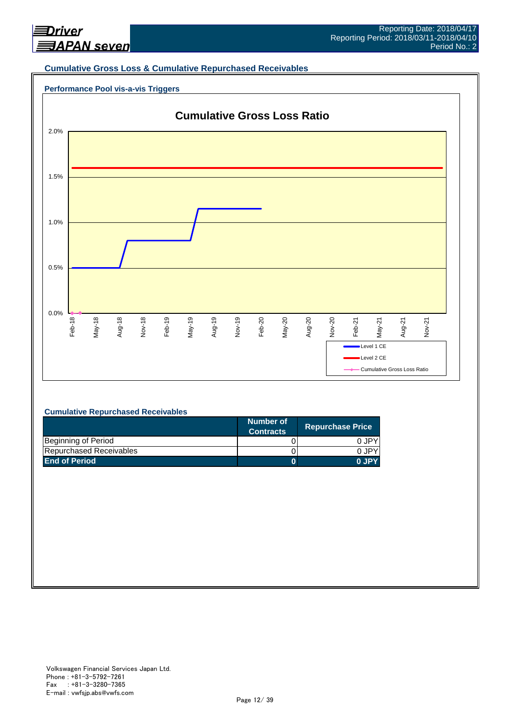

#### **Cumulative Gross Loss & Cumulative Repurchased Receivables**





#### **Cumulative Repurchased Receivables**

|                         | Number of<br><b>Contracts</b> | <b>Repurchase Price</b> |
|-------------------------|-------------------------------|-------------------------|
| Beginning of Period     |                               | 0 JPY                   |
| Repurchased Receivables |                               | 0.JPY                   |
| <b>End of Period</b>    |                               | 0 JPY                   |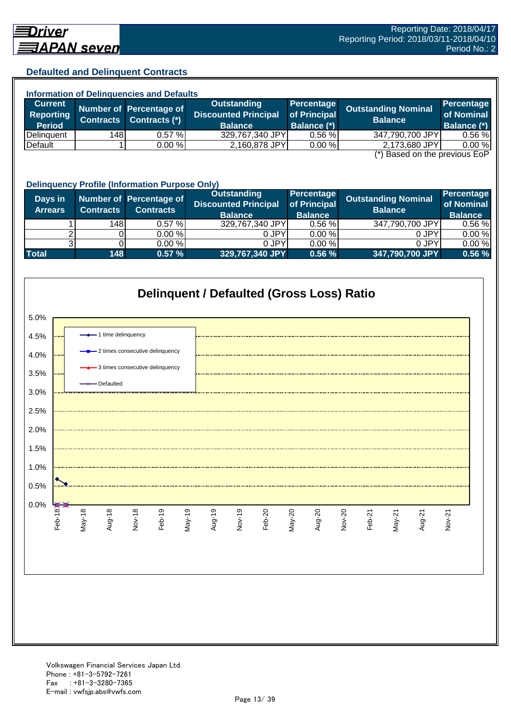#### **Defaulted and Delinquent Contracts**

| <b>Information of Delinquencies and Defaults</b> |                  |                         |                             |                    |                            |                    |  |
|--------------------------------------------------|------------------|-------------------------|-----------------------------|--------------------|----------------------------|--------------------|--|
| <b>Current</b>                                   |                  | Number of Percentage of | Outstanding                 | Percentage         | <b>Outstanding Nominal</b> | Percentage         |  |
| <b>Reporting</b>                                 | <b>Contracts</b> | Contracts (*)           | <b>Discounted Principal</b> | of Principal       | <b>Balance</b>             | of Nominal         |  |
| <b>Period</b>                                    |                  |                         | <b>Balance</b>              | <b>Balance (*)</b> |                            | <b>Balance (*)</b> |  |
| Delinquent                                       | 148              | $0.57 \%$               | 329,767,340 JPY             | 0.56%              | 347,790,700 JPY            | 0.56%              |  |
| Default                                          |                  | 0.00%                   | 2,160,878 JPY               | 0.00 %             | 2,173,680 JPY              | 0.00 %             |  |
| $(*)$ Rocad on the provisive $F \circ F$         |                  |                         |                             |                    |                            |                    |  |

(\*) Based on the previous EoP

|                           | <b>Delinquency Profile (Information Purpose Only)</b> |                                             |                                                                     |                                              |                                              |                                            |  |  |
|---------------------------|-------------------------------------------------------|---------------------------------------------|---------------------------------------------------------------------|----------------------------------------------|----------------------------------------------|--------------------------------------------|--|--|
| Days in<br><b>Arrears</b> | <b>Contracts</b>                                      | Number of Percentage of<br><b>Contracts</b> | <b>Outstanding</b><br><b>Discounted Principal</b><br><b>Balance</b> | Percentage<br>of Principal<br><b>Balance</b> | <b>Outstanding Nominal</b><br><b>Balance</b> | Percentage<br>of Nominal<br><b>Balance</b> |  |  |
|                           | 148                                                   | 0.57%                                       | 329,767,340 JPY                                                     | 0.56%                                        | 347,790,700 JPY                              | $0.56 \%$                                  |  |  |
|                           |                                                       | 0.00%                                       | 0 JPY                                                               | 0.00%                                        | 0 JPY                                        | 0.00%                                      |  |  |
|                           |                                                       | 0.00%                                       | 0 JPY                                                               | 0.00%                                        | 0 JPY                                        | 0.00%                                      |  |  |
| <b>Total</b>              | 148                                                   | 0.57%                                       | 329,767,340 JPY                                                     | 0.56%                                        | 347,790,700 JPY                              | 0.56%                                      |  |  |

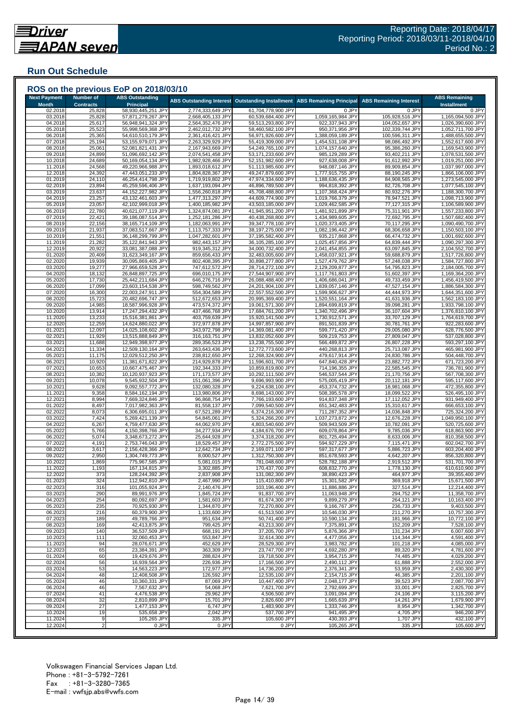## **Run Out Schedule**

| <b>Month</b>       | <b>Number of</b><br><b>Contracts</b> | <b>ABS Outstanding</b><br><b>Principal</b> | <b>ABS Outstanding Interest</b>        | <b>Outstanding Installment</b>           | <b>ABS Remaining Principal</b>         | <b>ABS Remaining Interest</b>     | <b>ABS Remaining</b><br><b>Installment</b> |
|--------------------|--------------------------------------|--------------------------------------------|----------------------------------------|------------------------------------------|----------------------------------------|-----------------------------------|--------------------------------------------|
| 02.2018<br>03.2018 | 25,828<br>25,828                     | 58,930,445,251 JPY<br>57,871,279,267 JPY   | 2,774,333,649 JPY<br>2,668,405,133 JPY | 61,704,778,900 JPY<br>60,539,684,400 JPY | 0 JPY<br>1,059,165,984 JPY             | 0 JPY<br>105,928,516 JPY          | 0 JPY<br>1,165,094,500 JPY                 |
| 04.2018            | 25,617                               | 56,948,941,324 JPY                         | 2,564,352,476 JPY                      | 59,513,293,800 JPY                       | 922,337,943 JPY                        | 104,052,657 JPY                   | 1,026,390,600 JPY                          |
| 05.2018            | 25,523                               | 55,998,569,368 JPY                         | 2,462,012,732 JPY                      | 58,460,582,100 JPY                       | 950,371,956 JPY                        | 102,339,744 JPY                   | 1,052,711,700 JPY                          |
| 06.2018<br>07.2018 | 25,365<br>25,194                     | 54,610,510,179 JPY<br>53,155,979,071 JPY   | 2,361,416,421 JPY<br>2,263,329,929 JPY | 56,971,926,600 JPY<br>55,419,309,000 JPY | 1,388,059,189 JPY<br>1,454,531,108 JPY | 100,596,311 JPY<br>98,086,492 JPY | 1,488,655,500 JPY<br>1,552,617,600 JPY     |
| 08.2018            | 25,061                               | 52,081,821,431 JPY                         | 2,167,943,669 JPY                      | 54,249,765,100 JPY                       | 1,074,157,640 JPY                      | 95,386,260 JPY                    | 1,169,543,900 JPY                          |
| 09.2018<br>10.2018 | 24,899<br>24,689                     | 51,096,692,142 JPY<br>50,169,054,134 JPY   | 2,074,541,458 JPY<br>1,982,928,466 JPY | 53,171,233,600 JPY<br>52,151,982,600 JPY | 985,129,289 JPY<br>927,638,008 JPY     | 93,402,211 JPY<br>91,612,992 JPY  | 1,078,531,500 JPY<br>1,019,251,000 JPY     |
| 11.2018            | 24,568                               | 49,220,966,988 JPY                         | 1,893,018,612 JPY                      | 51,113,985,600 JPY                       | 948,087,146 JPY                        | 89,909,854 JPY                    | 1,037,997,000 JPY                          |
| 12.2018            | 24,392                               | 47,443,051,233 JPY                         | 1,804,828,367 JPY                      | 49,247,879,600 JPY                       | 1,777,915,755 JP\                      | 88,190,245 JPY                    | 1,866,106,000 JPY                          |
| 01.2019<br>02.2019 | 24,110<br>23,894                     | 46,254,414,798 JPY<br>45,259,596,406 JPY   | 1,719,919,802 JPY<br>1,637,193,094 JPY | 47,974,334,600 JPY<br>46,896,789,500 JPY | 1,188,636,435 JPY<br>994,818,392 JPY   | 84,908,565 JPY<br>82,726,708 JPY  | 1,273,545,000 JPY<br>1,077,545,100 JPY     |
| 03.2019            | 23,637                               | 44,152,227,982 JPY                         | 1,556,260,818 JPY                      | 45,708,488,800 JPY                       | 1,107,368,424 JPY                      | 80,932,276 JPY                    | 1,188,300,700 JPY                          |
| 04.2019            | 23,257                               | 43,132,461,603 JPY                         | 1,477,313,297 JPY                      | 44,609,774,900 JPY                       | 1,019,766,379 JPY                      | 78,947,521 JPY                    | 1,098,713,900 JPY                          |
| 05.2019<br>06.2019 | 23,057<br>22,780                     | 42,102,999,018 JPY<br>40,621,077,119 JPY   | 1,400,185,982 JPY<br>1,324,874,081 JPY | 43,503,185,000 JPY<br>41,945,951,200 JPY | 1,029,462,585 JP\<br>1,481,921,899 JPY | 77,127,315 JPY<br>75,311,901 JPY  | 1,106,589,900 JPY<br>1,557,233,800 JPY     |
| 07.2019            | 22,421                               | 39,186,087,514 JPY                         | 1,252,181,286 JPY                      | 40,438,268,800 JPY                       | 1,434,989,605 JPY                      | 72,692,795 JPY                    | 1,507,682,400 JPY                          |
| 08.2019            | 22,156                               | 38,165,714,109 JPY                         | 1,182,063,991 JPY                      | 39,347,778,100 JPY                       | 1,020,373,405 JPY                      | 70,117,295 JPY                    | 1,090,490,700 JPY                          |
| 09.2019<br>10.2019 | 21,937<br>21,551                     | 37,083,517,667 JPY<br>36,148,299,799 JPY   | 1,113,757,333 JPY<br>1,047,282,601 JPY | 38,197,275,000 JPY<br>37,195,582,400 JPY | 1,082,196,442 JPY<br>935,217,868 JPY   | 68,306,658 JPY<br>66,474,732 JPY  | 1,150,503,100 JPY<br>1,001,692,600 JPY     |
| 11.2019            | 21,282                               | 35,122,841,943 JPY                         | 982,443,157 JPY                        | 36,105,285,100 JPY                       | 1,025,457,856 JPY                      | 64,839,444 JPY                    | 1,090,297,300 JPY                          |
| 12.2019            | 20,922                               | 33,081,387,088 JPY                         | 919,345,312 JPY<br>859,656,433 JPY     | 34,000,732,400 JPY                       | 2,041,454,855 JPY                      | 63,097,845 JPY                    | 2,104,552,700 JPY                          |
| 01.2020<br>02.2020 | 20,409<br>19,939                     | 31,623,349,167 JPY<br>30,095,869,405 JPY   | 802,408,395 JPY                        | 32,483,005,600 JPY<br>30,898,277,800 JPY | 1,458,037,921 JPY<br>1,527,479,762 JPY | 59,688,879 JPY<br>57,248,038 JPY  | 1,517,726,800 JPY<br>1,584,727,800 JPY     |
| 03.2020            | 19,277                               | 27,966,659,528 JPY                         | 747,612,572 JPY                        | 28,714,272,100 JPY                       | 2,129,209,877 JPY                      | 54,795,823 JPY                    | 2,184,005,700 JPY                          |
| 04.2020            | 18,132                               | 26,848,897,725 JPY                         | 696,010,175 JPY<br>646,276,716 JPY     | 27,544,907,900 JPY<br>26,088,488,400 JPY | 1,117,761,803 JPY<br>1,406,686,041 JPY | 51,602,397 JPY<br>49,733,459 JPY  | 1,169,364,200 JPY                          |
| 05.2020<br>06.2020 | 17,730<br>17,099                     | 25,442,211,684 JPY<br>23,603,154,538 JPY   | 598,749,562 JPY                        | 24,201,904,100 JPY                       | 1,839,057,146 JPY                      | 47,527,154 JPY                    | 1,456,419,500 JPY<br>1,886,584,300 JPY     |
| 07.2020            | 16,300                               | 22,003,247,911 JPY                         | 554,304,589 JPY                        | 22,557,552,500 JPY                       | 1,599,906,627 JPY                      | 44,444,973 JPY                    | 1,644,351,600 JPY                          |
| 08.2020            | 15,723                               | 20,482,696,747 JPY                         | 512,672,653 JPY<br>473,574,372 JPY     | 20,995,369,400 JPY                       | 1,520,551,164 JPY                      | 41,631,936 JPY                    | 1,562,183,100 JPY                          |
| 09.2020<br>10.2020 | 14,985<br>13,914                     | 18,587,996,928 JPY<br>17,247,294,432 JPY   | 437,466,768 JPY                        | 19,061,571,300 JPY<br>17,684,761,200 JPY | 1,894,699,819 JPY<br>1,340,702,496 JPY | 39,098,281 JPY<br>36,107,604 JPY  | 1,933,798,100 JPY<br>1,376,810,100 JPY     |
| 11.2020            | 13,233                               | 15,516,381,861 JPY                         | 403,759,639 JPY                        | 15,920,141,500 JPY                       | 1,730,912,571 JPY                      | 33,707,129 JPY                    | 1,764,619,700 JPY                          |
| 12.2020            | 12,259                               | 14,624,880,022 JPY                         | 372,977,878 JPY                        | 14,997,857,900 JPY                       | 891,501,839 JPY                        | 30,781,761 JPY                    | 922,283,600 JPY                            |
| 01.2021<br>02.2021 | 12,097<br>11,929                     | 14,025,108,602 JPY<br>13,515,888,849 JPY   | 343,972,798 JPY<br>316,163,751 JPY     | 14,369,081,400 JPY<br>13,832,052,600 JPY | 599,771,420 JPY<br>509,219,753 JPY     | 29,005,080 JPY<br>27,809,047 JPY  | 628,776,500 JPY<br>537,028,800 JPY         |
| 03.2021            | 11,688                               | 12,949,398,977 JPY                         | 289,356,523 JPY                        | 13,238,755,500 JPY                       | 566,489,872 JPY                        | 26,807,228 JPY                    | 593,297,100 JPY                            |
| 04.2021            | 11,334                               | 12,509,130,164 JPY                         | 263,643,436 JPY                        | 12,772,773,600 JPY                       | 440,268,813 JPY                        | 25,713,087 JPY                    | 465,981,900 JPY                            |
| 05.2021<br>06.2021 | 11,175<br>10,920                     | 12,029,512,250 JPY<br>11,381,671,822 JPY   | 238,812,650 JPY<br>214,929,878 JPY     | 12,268,324,900 JPY<br>11,596,601,700 JPY | 479,617,914 JPY<br>647,840,428 JPY     | 24,830,786 JPY<br>23,882,772 JPY  | 504,448,700 JPY<br>671,723,200 JPY         |
| 07.2021            | 10,653                               | 10,667,475,467 JPY                         | 192,344,333 JPY                        | 10,859,819,800 JPY                       | 714,196,355 JPY                        | 22,585,545 JPY                    | 736,781,900 JPY                            |
| 08.2021<br>09.2021 | 10,382<br>10,078                     | 10,120,937,923 JPY<br>9,545,932,504 JPY    | 171,173,577 JPY<br>151,061,396 JPY     | 10,292,111,500 JPY<br>9,696,993,900 JPY  | 546,537,544 JPY<br>575,005,419 JPY     | 21,170,756 JPY<br>20,112,181 JPY  | 567,708,300 JPY<br>595,117,600 JPY         |
| 10.2021            | 9,628                                | 9,092,557,772 JP\                          | 132,080,328 JPY                        | 9,224,638,100 JPY                        | 453,374,732 JPY                        | 18,981,068 JPY                    | 472,355,800 JPY                            |
| 11.2021            | 9,358                                | 8,584,162,194 JPY                          | 113,980,806 JPY                        | 8,698,143,000 JPY                        | 508,395,578 JPY                        | 18,099,522 JPY                    | 526,495,100 JPY                            |
| 12.2021<br>01.2022 | 8,994<br>8,497                       | 7,669,324,846 JPY<br>7,017,982,363 JPY     | 96,868,754 JPY<br>81,558,137 JPY       | 7,766,193,600 JPY<br>7,099,540,500 JPY   | 914,837,348 JPY<br>651,342,483 JPY     | 17,112,052 JPY<br>15,310,617 JPY  | 931,949,400 JPY<br>666,653,100 JPY         |
| 02.2022            | 8,073                                | 6,306,695,011 JPY                          | 67,521,289 JPY                         | 6,374,216,300 JPY                        | 711,287,352 JPY                        | 14,036,848 JPY                    | 725,324,200 JPY                            |
| 03.2022            | 7,424                                | 5,269,421,139 JPY                          | 54,845,061 JPY                         | 5,324,266,200 JPY                        | 1,037,273,872 JPY                      | 12,676,228 JPY                    | 1,049,950,100 JPY                          |
| 04.2022<br>05.2022 | 6,267<br>5,766                       | 4,759,477,630 JPY<br>4,150,398,766 JPY     | 44,062,970 JPY<br>34,277,934 JPY       | 4,803,540,600 JPY<br>4,184,676,700 JPY   | 509,943,509 JPY<br>609,078,864 JPY     | 10,782,091 JPY<br>9,785,036 JPY   | 520,725,600 JPY<br>618,863,900 JPY         |
| 06.202             | 5,074                                | 3,348,673,272 JPY                          | 25,644,928 JPY                         | 3,374,318,200 JPY                        | 801,725,494 JPY                        | 8,633,006 JPY                     | 810,358,500 JPY                            |
| 07.2022            | 4,191                                | 2,753,746,043 JPY                          | 18,529,457 JPY                         | 2,772,275,500 JPY                        | 594,927,229 JPY                        | 7,115,471 JPY                     | 602,042,700 JPY                            |
| 08.2022<br>09.2022 | 3,617<br>2,950                       | 2,156,428,366 JPY<br>1,304,749,773 JPY     | 12,642,734 JPY<br>8,000,527 JPY        | 2,169,071,100 JPY<br>1,312,750,300 JPY   | 597,317,677 JPY<br>851,678,593 JPY     | 5,886,723 JPY<br>4,642,207 JPY    | 603,204,400 JPY<br>856,320,800 JPY         |
| 10.2022            | 1,869                                | 775,967,585 JPY                            | 5,081,015 JPY                          | 781,048,600 JPY                          | 528,782,188 JPY                        | 2,919,512 JPY                     | 531,701,700 JPY                            |
| 11.2022            | 1,193                                | 167,134,815 JPY                            | 3,302,885 JPY                          | 170,437,700 JPY                          | 608,832,770 JPY                        | 1,778,130 JPY                     | 610,610,900 JPY                            |
| 12.2022<br>01.2023 | 373<br>324                           | 128,244,392 JPY<br>112,942,810 JPY         | 2,837,908 JPY<br>2,467,990 JPY         | 131,082,300 JPY<br>115,410,800 JPY       | 38,890,423 JPY<br>15,301,582 JPY       | 464,977 JPY<br>369,918 JPY        | 39,355,400 JPY<br>15,671,500 JPY           |
| 02.2023            | 316                                  | 101,055,924 JPY                            | 2,140,476 JPY                          | 103,196,400 JPY                          | 11,886,886 JPY                         | 327,514 JPY                       | 12,214,400 JPY                             |
| 03.2023            | 290                                  | 89,991,976 JPY                             | 1,845,724 JPY                          | 91,837,700 JPY                           | 11,063,948 JPY                         | 294,752 JPY                       | 11,358,700 JPY                             |
| 04.2023<br>05.2023 | 254<br>235                           | 80,092,697 JPY<br>70,925,930 JPY           | 1,581,603 JPY<br>1.344.870 JPY         | 81,674,300 JPY<br>72,270,800 JPY         | 9,899,279 JPY<br>9,166,767 JPY         | 264,121 JPY<br>236,733 JPY        | 10,163,400 JPY<br>9,403,500 JPY            |
| 06.2023            | 216                                  | 60,379,900 JPY                             | 1,133,600 JPY                          | 61,513,500 JPY                           | 10,546,030 JPY                         | 211,270 JPY                       | 10,757,300 JPY                             |
| 07.2023            | 189                                  | 49,789,766 JPY                             | 951,634 JPY                            | 50,741,400 JPY                           | 10,590,134 JPY                         | 181,966 JPY                       | 10,772,100 JPY                             |
| 08.2023<br>09.2023 | 169<br>140                           | 42,413,875 JPY<br>36,537,509 JPY           | 799,425 JPY<br>668,191 JPY             | 43,213,300 JPY<br>37,205,700 JPY         | 7,375,891 JPY<br>5,876,366 JPY         | 152,209 JPY<br>131,234 JPY        | 7,528,100 JPY<br>6,007,600 JPY             |
| 10.2023            | 111                                  | 32,060,453 JPY                             | 553,847 JPY                            | 32,614,300 JPY                           | 4,477,056 JPY                          | 114,344 JPY                       | 4,591,400 JPY                              |
| 11.2023            | 94                                   | 28,076,671 JPY                             | 452,629 JPY                            | 28,529,300 JPY                           | 3,983,782 JPY                          | 101,218 JPY                       | 4,085,000 JPY                              |
| 12.2023<br>01.2024 | 65<br>60                             | 23,384,391 JPY<br>19,429,676 JPY           | 363,309 JPY<br>288,824 JPY             | 23,747,700 JPY<br>19,718,500 JPY         | 4,692,280 JPY<br>3,954,715 JPY         | 89,320 JPY<br>74,485 JPY          | 4,781,600 JPY<br>4,029,200 JPY             |
| 02.2024            | 56                                   | 16,939,564 JPY                             | 226,936 JPY                            | 17.166.500 JPY                           | 2,490,112 JPY                          | 61,888 JPY                        | 2,552,000 JPY                              |
| 03.2024            | 53                                   | 14,563,223 JPY                             | 172,977 JPY                            | 14,736,200 JPY                           | 2,376,341 JPY                          | 53,959 JPY                        | 2,430,300 JPY                              |
| 04.2024<br>05.2024 | 48<br>46                             | 12,408,508 JPY<br>10,360,331 JPY           | 126,592 JPY<br>87,069 JPY              | 12,535,100 JPY<br>10,447,400 JPY         | 2,154,715 JPY<br>2,048,177 JPY         | 46,385 JPY<br>39,523 JPY          | 2,201,100 JPY<br>2,087,700 JPY             |
| 06.2024            | 46                                   | 7,567,632 JPY                              | 54,068 JPY                             | 7,621,700 JPY                            | 2,792,699 JPY                          | 33,001 JPY                        | 2,825,700 JPY                              |
| 07.2024            | 41                                   | 4,476,538 JPY                              | 29,962 JPY                             | 4,506,500 JPY                            | 3,091,094 JPY                          | 24,106 JPY                        | 3,115,200 JPY                              |
| 08.2024<br>09.2024 | 32<br>27                             | 2,810,899 JPY<br>1,477,153 JPY             | 15,701 JPY<br>6,747 JPY                | 2,826,600 JPY<br>1,483,900 JPY           | 1,665,639 JPY<br>1,333,746 JPY         | 14,261 JPY<br>8,954 JPY           | 1,679,900 JPY<br>1,342,700 JPY             |
| 10.2024            | 19                                   | 535,658 JPY                                | 2,042 JPY                              | 537,700 JPY                              | 941,495 JPY                            | 4,705 JPY                         | 946,200 JPY                                |
| 11.2024            | 9                                    | 105,265 JPY                                | 335 JPY                                | 105,600 JPY                              | 430,393 JPY                            | 1,707 JPY                         | 432,100 JPY                                |
| 12.2024            | $\overline{2}$                       | 0 JPY                                      | 0 JPY                                  | 0 JPY                                    | 105,265 JPY                            | 335 JPY                           | 105,600 JPY                                |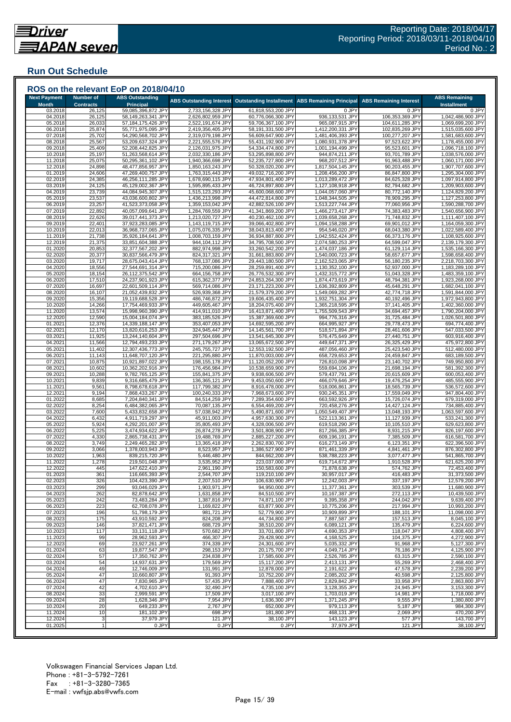## **Run Out Schedule**

| <b>Next Payment</b> | <b>Number of</b> | <b>ABS Outstanding</b>                   |                                        |                                          |                                        |                                    | <b>ABS Remaining</b>                   |
|---------------------|------------------|------------------------------------------|----------------------------------------|------------------------------------------|----------------------------------------|------------------------------------|----------------------------------------|
| <b>Month</b>        | <b>Contracts</b> | <b>Principal</b>                         | <b>ABS Outstanding Interest</b>        | <b>Outstanding Installment</b>           | <b>ABS Remaining Principal</b>         | <b>ABS Remaining Interest</b>      | <b>Installment</b>                     |
| 03.2018             | 26,125           | 59,085,396,872 JPY                       | 2,733,156,328 JPY                      | 61,818,553,200 JPY                       | 0 JPY                                  | 0 JPY                              | 0 JPY                                  |
| 04.2018<br>05.2018  | 26,125<br>26,033 | 58,149,263,341 JPY<br>57,184,175,426 JPY | 2,626,802,959 JPY<br>2,522,191,674 JPY | 60,776,066,300 JPY<br>59,706,367,100 JPY | 936,133,531 JPY<br>965,087,915 JPY     | 106,353,369 JPY<br>104,611,285 JPY | 1,042,486,900 JPY<br>1,069,699,200 JPY |
| 06.2018             | 25,874           | 55,771,975,095 JPY                       | 2,419,356,405 JPY                      | 58,191,331,500 JPY                       | 1,412,200,331 JPY                      | 102,835,269 JPY                    | 1,515,035,600 JPY                      |
| 07.2018             | 25,702           | 54,290,568,702 JPY                       | 2,319,079,198 JPY                      | 56,609,647,900 JPY                       | 1,481,406,393 JPY                      | 100,277,207 JPY                    | 1,581,683,600 JPY                      |
| 08.2018             | 25,567           | 53,209,637,324 JPY                       | 2,221,555,576 JPY                      | 55,431,192,900 JPY                       | 1,080,931,378 JPY                      | 97,523,622 JPY                     | 1,178,455,000 JPY                      |
| 09.2018             | 25,409           | 52,208,442,825 JPY                       | 2,126,031,975 JPY                      | 54,334,474,800 JPY                       | 1,001,194,499 JPY                      | 95,523,601 JPY                     | 1,096,718,100 JPY                      |
| 10.2018<br>11.2018  | 25,197<br>25,075 | 51,263,568,614 JPY<br>50,295,361,102 JPY | 2,032,330,186 JPY<br>1,940,366,698 JPY | 53,295,898,800 JPY<br>52,235,727,800 JPY | 944,874,211 JPY<br>968,207,512 JPY     | 93,701,789 JPY<br>91,963,488 JPY   | 1,038,576,000 JPY<br>1,060,171,000 JPY |
| 12.2018             | 24,898           | 48,477,856,957 JPY                       | 1,850,163,243 JPY                      | 50,328,020,200 JPY                       | 1,817,504,145 JPY                      | 90,203,455 JPY                     | 1,907,707,600 JPY                      |
| 01.2019             | 24,606           | 47,269,400,757 JPY                       | 1,763,315,443 JPY                      | 49,032,716,200 JPY                       | 1,208,456,200 JPY                      | 86,847,800 JPY                     | 1,295,304,000 JPY                      |
| 02.2019             | 24,385           | 46,256,111,285 JPY                       | 1,678,690,115 JPY                      | 47,934,801,400 JPY                       | 1,013,289,472 JPY                      | 84,625,328 JPY                     | 1,097,914,800 JPY                      |
| 03.2019             | 24,125           | 45,129,002,367 JPY                       | 1,595,895,433 JPY                      | 46,724,897,800 JPY                       | 1,127,108,918 JPY                      | 82,794,682 JPY                     | 1,209,903,600 JPY                      |
| 04.2019<br>05.2019  | 23,739<br>23,537 | 44,084,945,307 JPY<br>43,036,600,802 JPY | 1,515,123,293 JPY<br>1,436,213,998 JPY | 45,600,068,600 JPY<br>44,472,814,800 JPY | 1,044,057,060 JPY<br>1,048,344,505 JPY | 80,772,140 JPY<br>78,909,295 JPY   | 1,124,829,200 JPY<br>1,127,253,800 JPY |
| 06.2019             | 23,257           | 41,523,373,058 JPY                       | 1,359,153,042 JPY                      | 42,882,526,100 JPY                       | 1,513,227,744 JPY                      | 77,060,956 JPY                     | 1,590,288,700 JPY                      |
| 07.2019             | 22,892           | 40,057,099,641 JPY                       | 1,284,769,559 JPY                      | 41,341,869,200 JPY                       | 1,466,273,417 JPY                      | 74,383,483 JPY                     | 1,540,656,900 JPY                      |
| 08.2019             | 22,626           | 39,017,441,373 JPY                       | 1,213,020,727 JPY                      | 40,230,462,100 JPY                       | 1,039,658,268 JPY                      | 71,748,832 JPY                     | 1,111,407,100 JPY                      |
| 09.2019             | 22,401           | 37,923,283,085 JPY                       | 1,143,119,715 JPY                      | 39,066,402,800 JPY                       | 1,094,158,288 JPY                      | 69,901,012 JPY                     | 1,164,059,300 JPY                      |
| 10.2019             | 22,013           | 36,968,737,065 JPY                       | 1,075,076,335 JPY                      | 38,043,813,400 JPY                       | 954,546,020 JPY                        | 68,043,380 JPY                     | 1,022,589,400 JPY                      |
| 11.2019<br>12.2019  | 21,738<br>21,375 | 35,926,184,641 JPY<br>33,851,604,388 JPY | 1,008,703,159 JPY<br>944,104,112 JPY   | 36,934,887,800 JPY<br>34,795,708,500 JPY | 1,042,552,424 JPY<br>2,074,580,253 JPY | 66,373,176 JPY<br>64,599,047 JPY   | 1,108,925,600 JPY<br>2,139,179,300 JPY |
| 01.2020             | 20,853           | 32,377,567,202 JPY                       | 882,974,998 JPY                        | 33,260,542,200 JPY                       | 1,474,037,186 JPY                      | 61,129,114 JPY                     | 1,535,166,300 JPY                      |
| 02.2020             | 20,377           | 30,837,566,479 JPY                       | 824,317,321 JPY                        | 31,661,883,800 JPY                       | 1,540,000,723 JPY                      | 58,657,677 JPY                     | 1,598,658,400 JPY                      |
| 03.2020             | 19,717           | 28,675,043,414 JPY                       | 768,137,086 JPY                        | 29,443,180,500 JPY                       | 2,162,523,065 JPY                      | 56,180,235 JPY                     | 2,218,703,300 JPY                      |
| 04.2020             | 18,556           | 27,544,691,314 JPY                       | 715,200,086 JPY                        | 28,259,891,400 JPY                       | 1,130,352,100 JPY                      | 52,937,000 JPY                     | 1,183,289,100 JPY                      |
| 05.2020<br>06.2020  | 18,154<br>17,510 | 26,112,375,542 JPY<br>24,237,901,923 JPY | 664,156,758 JPY<br>615,362,377 JPY     | 26,776,532,300 JPY<br>24,853,264,300 JPY | 1,432,315,772 JPY<br>1,874,473,619 JPY | 51,043,328 JPY<br>48,794,381 JPY   | 1,483,359,100 JPY<br>1,923,268,000 JPY |
| 07.2020             | 16,697           | 22,601,509,114 JPY                       | 569,714,086 JPY                        | 23,171,223,200 JPY                       | 1,636,392,809 JPY                      | 45,648,291 JPY                     | 1,682,041,100 JPY                      |
| 08.2020             | 16,107           | 21,052,439,832 JPY                       | 526,939,368 JPY                        | 21,579,379,200 JPY                       | 1,549,069,282 JPY                      | 42,774,718 JPY                     | 1,591,844,000 JPY                      |
| 09.2020             | 15,356           | 19,119,688,528 JPY                       | 486,746,872 JPY                        | 19,606,435,400 JPY                       | 1,932,751,304 JPY                      | 40,192,496 JPY                     | 1,972,943,800 JPY                      |
| 10.2020             | 14,266           | 17,754,469,933 JPY                       | 449,605,467 JPY                        | 18,204,075,400 JPY                       | 1,365,218,595 JPY                      | 37,141,405 JPY                     | 1,402,360,000 JPY                      |
| 11.2020<br>12.2020  | 13,574<br>12,590 | 15,998,960,390 JPY<br>15,004,184,074 JPY | 414,911,010 JPY<br>383,185,526 JPY     | 16,413,871,400 JPY<br>15,387,369,600 JPY | 1,755,509,543 JPY<br>994,776,316 JPY   | 34,694,457 JPY<br>31,725,484 JPY   | 1,790,204,000 JPY<br>1,026,501,800 JPY |
| 01.2021             | 12,376           | 14,339,188,147 JPY                       | 353,407,053 JPY                        | 14,692,595,200 JPY                       | 664,995,927 JPY                        | 29,778,473 JPY                     | 694,774,400 JPY                        |
| 02.2021             | 12,170           | 13,820,616,253 JPY                       | 324,945,447 JPY                        | 14,145,561,700 JPY                       | 518,571,894 JPY                        | 28,461,606 JPY                     | 547,033,500 JPY                        |
| 03.2021             | 11,925           | 13,244,140,604 JPY                       | 297,504,696 JPY                        | 13,541,645,300 JPY                       | 576,475,649 JPY                        | 27,440,751 JPY                     | 603,916,400 JPY                        |
| 04.2021             | 11,566           | 12,794,493,233 JPY                       | 271,179,267 JPY                        | 13,065,672,500 JPY                       | 449,647,371 JPY                        | 26,325,429 JPY                     | 475,972,800 JPY                        |
| 05.2021<br>06.2021  | 11,402<br>11,143 | 12,307,436,773 JPY<br>11,648,707,120 JPY | 245,755,727 JPY<br>221,295,880 JPY     | 12,553,192,500 JPY<br>11,870,003,000 JPY | 487,056,460 JPY<br>658,729,653 JPY     | 25,423,540 JPY<br>24,459,847 JPY   | 512,480,000 JPY<br>683,189,500 JPY     |
| 07.2021             | 10,875           | 10,921,897,022 JPY                       | 198,155,178 JPY                        | 11,120,052,200 JPY                       | 726,810,098 JPY                        | 23,140,702 JPY                     | 749,950,800 JPY                        |
| 08.2021             | 10,602           | 10,362,202,916 JPY                       | 176,456,984 JPY                        | 10,538,659,900 JPY                       | 559,694,106 JPY                        | 21,698,194 JPY                     | 581,392,300 JPY                        |
| 09.2021             | 10,288           | 9,782,765,125 JPY                        | 155,841,375 JPY                        | 9,938,606,500 JPY                        | 579,437,791 JPY                        | 20,615,609 JPY                     | 600,053,400 JPY                        |
| 10.2021             | 9,839            | 9,316,685,479 JPY                        | 136,365,121 JPY                        | 9,453,050,600 JPY                        | 466,079,646 JPY                        | 19,476,254 JPY                     | 485,555,900 JPY                        |
| 11.2021<br>12.2021  | 9,561<br>9,194   | 8,798,678,618 JPY<br>7,868,433,267 JPY   | 117,799,382 JPY<br>100,240,333 JPY     | 8,916,478,000 JPY<br>7,968,673,600 JPY   | 518,006,861 JPY<br>930,245,351 JPY     | 18,565,739 JPY<br>17,559,049 JPY   | 536,572,600 JPY<br>947,804,400 JPY     |
| 01.2022             | 8,685            | 7,204,840,341 JPY                        | 84,514,259 JPY                         | 7,289,354,600 JPY                        | 663,592,926 JPY                        | 15,726,074 JPY                     | 679,319,000 JPY                        |
| 02.2022             | 8,254            | 6,484,382,065 JPY                        | 70,087,135 JPY                         | 6,554,469,200 JPY                        | 720,458,276 JPY                        | 14,427,124 JPY                     | 734,885,400 JPY                        |
| 03.2022             | 7,600            | 5,433,832,658 JPY                        | 57,038,942 JPY                         | 5,490,871,600 JPY                        | 1,050,549,407 JPY                      | 13,048,193 JPY                     | 1,063,597,600 JPY                      |
| 04.2022<br>05.2022  | 6,432<br>5,924   | 4,911,719,297 JPY<br>4,292,201,007 JPY   | 45,911,003 JPY<br>35,805,493 JPY       | 4,957,630,300 JPY<br>4,328,006,500 JPY   | 522,113,361 JPY<br>619,518,290 JPY     | 11,127,939 JPY<br>10,105,510 JPY   | 533,241,300 JPY<br>629,623,800 JPY     |
| 06.2022             | 5,225            | 3,474,934,622 JPY                        | 26,874,278 JPY                         | 3,501,808,900 JPY                        | 817,266,385 JPY                        | 8,931,215 JPY                      | 826,197,600 JPY                        |
| 07.202              | 4,330            | 2,865,738,431 JPY                        | 19,488,769 JPY                         | 2,885,227,200 JPY                        | 609,196,191 JPY                        | 7,385,509 JPY                      | 616,581,700 JPY                        |
| 08.2022             | 3,749            | 2,249,465,282 JPY                        | 13,365,418 JPY                         | 2,262,830,700 JPY                        | 616,273,149 JPY                        | 6,123,351 JPY                      | 622,396,500 JPY                        |
| 09.2022             | 3,066            | 1,378,003,943 JPY                        | 8,523,957 JPY                          | 1,386,527,900 JPY                        | 871,461,339 JPY                        | 4,841,461 JPY                      | 876,302,800 JPY                        |
| 10.2022             | 1,963            | 839,215,720 JPY                          | 5,446,480 JPY                          | 844,662,200 JPY                          | 538,788,223 JPY                        | 3,077,477 JPY                      | 541,865,700 JPY                        |
| 11.2022<br>12.2022  | 1,278<br>445     | 219,501,048 JPY<br>147,622,410 JPY       | 3,535,952 JPY<br>2,961,190 JPY         | 223,037,000 JPY<br>150,583,600 JPY       | 619,714,672 JPY<br>71,878,638 JPY      | 1,910,528 JPY<br>574,762 JPY       | 621,625,200 JPY<br>72,453,400 JPY      |
| 01.2023             | 361              | 116,665,393 JPY                          | 2,544,707 JPY                          | 119,210,100 JPY                          | 30,957,017 JPY                         | 416,483 JPY                        | 31,373,500 JPY                         |
| 02.2023             | 326              | 104,423,390 JPY                          | 2,207,510 JPY                          | 106,630,900 JPY                          | 12,242,003 JPY                         | 337,197 JPY                        | 12,579,200 JPY                         |
| 03.2023             | 299              | 93,046,029 JPY                           | 1,903,971 JPY                          | 94,950,000 JPY                           | 11,377,361 JPY                         | 303,539 JPY                        | 11,680,900 JPY                         |
| 04.2023             | 262              | 82,878,642 JPY                           | 1,631,858 JPY                          | 84,510,500 JPY                           | 10,167,387 JPY                         | 272,113 JPY                        | 10,439,500 JPY                         |
| 05.2023<br>06.2023  | 242<br>223       | 73,483,284 JPY<br>62.708.078 JPY         | 1,387,816 JPY<br>1,169,822 JPY         | 74,871,100 JPY<br>63,877,900 JPY         | 9,395,358 JPY<br>10,775,206 JPY        | 244,042 JPY<br>217,994 JPY         | 9,639,400 JPY<br>10,993,200 JPY        |
| 07.2023             | 196              | 51,798,179 JPY                           | 981,721 JPY                            | 52,779,900 JPY                           | 10,909,899 JPY                         | 188,101 JPY                        | 11,098,000 JPY                         |
| 08.2023             | 175              | 43,910,592 JPY                           | 824,208 JPY                            | 44,734,800 JPY                           | 7,887,587 JPY                          | 157,513 JPY                        | 8,045,100 JPY                          |
| 09.2023             | 146              | 37,821,471 JPY                           | 688,729 JPY                            | 38,510,200 JPY                           | 6,089,121 JPY                          | 135,479 JPY                        | 6,224,600 JPY                          |
| 10.2023             | 117              | 33,131,118 JPY                           | 570,682 JPY                            | 33,701,800 JPY                           | 4,690,353 JPY                          | 118,047 JPY                        | 4,808,400 JPY                          |
| 11.2023             | 99               | 28,962,593 JPY<br>23,927,261 JPY         | 466,307 JPY                            | 29,428,900 JPY                           | 4,168,525 JPY                          | 104,375 JPY                        | 4,272,900 JPY                          |
| 12.2023<br>01.2024  | 69<br>63         | 19,877,547 JPY                           | 374,339 JPY<br>298,153 JPY             | 24,301,600 JPY<br>20,175,700 JPY         | 5,035,332 JPY<br>4,049,714 JPY         | 91,968 JPY<br>76,186 JPY           | 5,127,300 JPY<br>4,125,900 JPY         |
| 02.2024             | 57               | 17,350,762 JPY                           | 234,838 JPY                            | 17,585,600 JPY                           | 2,526,785 JPY                          | 63,315 JPY                         | 2,590,100 JPY                          |
| 03.2024             | 54               | 14,937,631 JPY                           | 179,569 JPY                            | 15.117.200 JPY                           | 2,413,131 JPY                          | 55,269 JPY                         | 2,468,400 JPY                          |
| 04.2024             | 49               | 12,746,009 JPY                           | 131,991 JPY                            | 12,878,000 JPY                           | 2,191,622 JPY                          | 47,578 JPY                         | 2,239,200 JPY                          |
| 05.2024             | 47               | 10,660,807 JPY                           | 91,393 JPY                             | 10,752,200 JPY                           | 2,085,202 JPY                          | 40,598 JPY                         | 2,125,800 JPY                          |
| 06.2024             | 47               | 7,830,965 JPY                            | 57,435 JPY<br>32,490 JPY               | 7,888,400 JPY                            | 2,829,842 JPY                          | 33,958 JPY                         | 2,863,800 JPY                          |
| 07.2024<br>08.2024  | 42<br>33         | 4,702,610 JPY<br>2,999,591 JPY           | 17,509 JPY                             | 4,735,100 JPY<br>3,017,100 JPY           | 3,128,355 JPY<br>1,703,019 JPY         | 24,945 JPY<br>14,981 JPY           | 3,153,300 JPY<br>1,718,000 JPY         |
| 09.2024             | 28               | 1,628,346 JPY                            | 7,954 JPY                              | 1,636,300 JPY                            | 1,371,245 JPY                          | 9,555 JPY                          | 1,380,800 JPY                          |
| 10.2024             | 20               | 649,233 JPY                              | 2,767 JPY                              | 652,000 JPY                              | 979,113 JPY                            | 5,187 JPY                          | 984,300 JPY                            |
| 11.2024             | 10               | 181,102 JPY                              | 698 JPY                                | 181,800 JPY                              | 468,131 JPY                            | 2,069 JPY                          | 470,200 JPY                            |
|                     | 3                | 37,979 JPY                               | 121 JPY                                | 38,100 JPY                               | 143,123 JPY                            | 577 JPY                            | 143,700 JPY                            |
| 12.2024<br>01.2025  |                  | 0 JPY                                    | 0 JPY                                  | 0 JPY                                    | 37,979 JPY                             | 121 JPY                            | 38,100 JPY                             |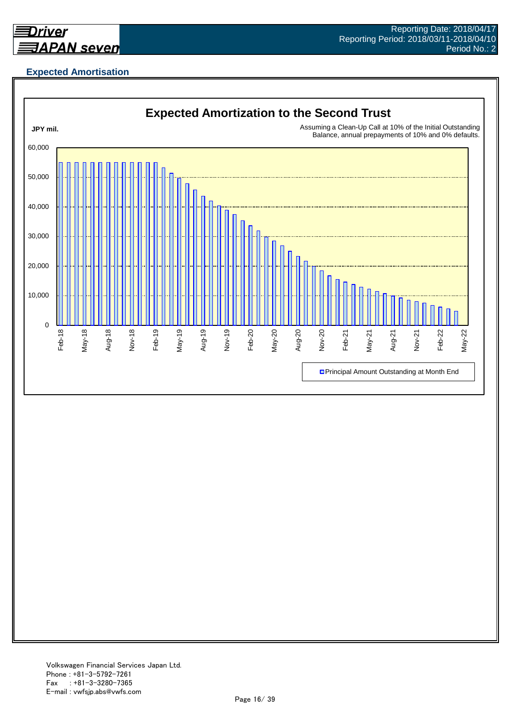

## **Expected Amortisation**

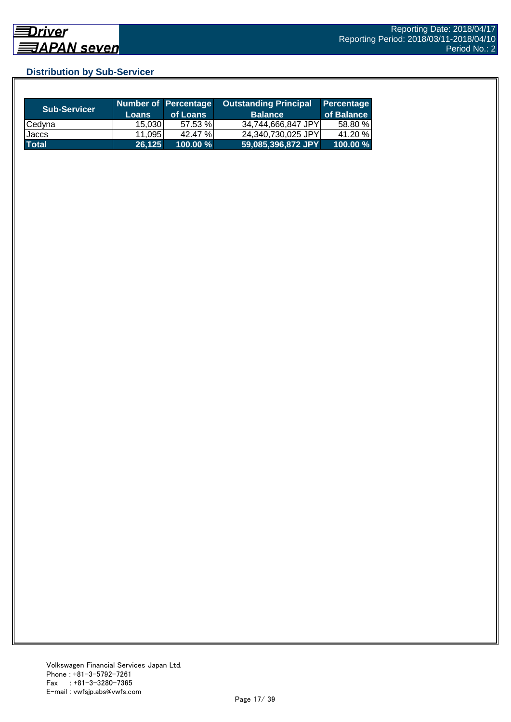## **Distribution by Sub-Servicer**

| <b>Sub-Servicer</b> | <b>Loans</b>    | Number of Percentage<br>of Loans | <b>Outstanding Principal</b><br><b>Balance</b> | Percentage<br>of Balance |
|---------------------|-----------------|----------------------------------|------------------------------------------------|--------------------------|
| Cedyna              | 15.030          | 57.53 %                          | 34,744,666,847 JPY                             | 58.80 %                  |
| Jaccs               | 11.095 <b>1</b> | 42.47 %                          | 24,340,730,025 JPY                             | 41.20 %                  |
| <b>Total</b>        | 26,125          | $100.00 \%$                      | 59,085,396,872 JPY                             | 100.00 %                 |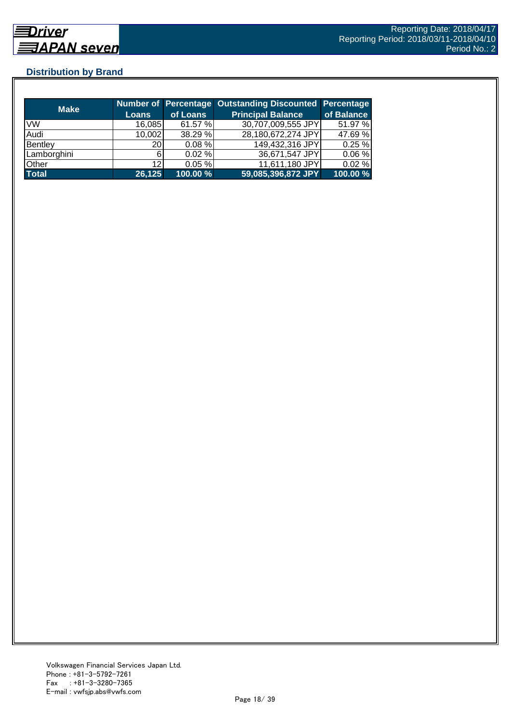## **Distribution by Brand**

| <b>Make</b>  |        |           | Number of Percentage Outstanding Discounted Percentage |            |
|--------------|--------|-----------|--------------------------------------------------------|------------|
|              | Loans  | of Loans  | <b>Principal Balance</b>                               | of Balance |
| <b>VW</b>    | 16,085 | 61.57 %   | 30,707,009,555 JPY                                     | 51.97 %    |
| Audi         | 10,002 | 38.29 %   | 28,180,672,274 JPY                                     | 47.69 %    |
| Bentley      | 20     | $0.08 \%$ | 149,432,316 JPY                                        | 0.25%      |
| Lamborghini  |        | $0.02 \%$ | 36,671,547 JPY                                         | 0.06%      |
| Other        | 12     | 0.05%     | 11,611,180 JPY                                         | 0.02%      |
| <b>Total</b> | 26,125 | 100.00%   | 59,085,396,872 JPY                                     | 100.00 %   |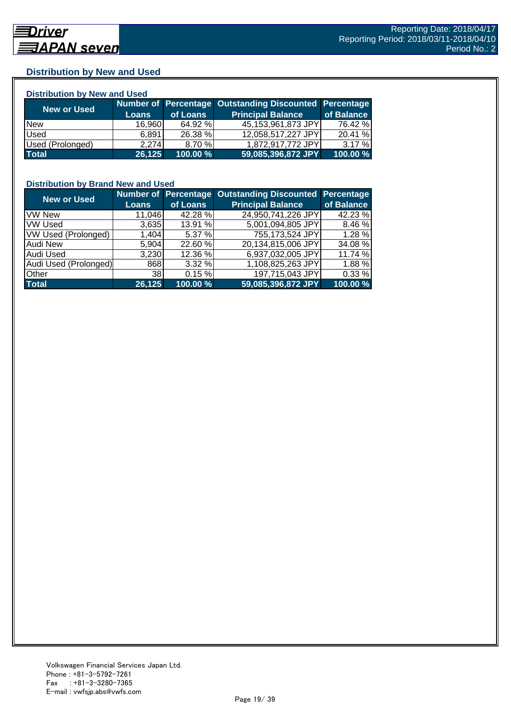## **Distribution by New and Used**

| <b>Distribution by New and Used</b> |              |          |                                                        |            |  |  |
|-------------------------------------|--------------|----------|--------------------------------------------------------|------------|--|--|
|                                     |              |          | Number of Percentage Outstanding Discounted Percentage |            |  |  |
| <b>New or Used</b>                  | <b>Loans</b> | of Loans | <b>Principal Balance</b>                               | of Balance |  |  |
| <b>New</b>                          | 16,960       | 64.92 %  | 45,153,961,873 JPY                                     | 76.42 %    |  |  |
| Used                                | 6.891        | 26.38 %  | 12,058,517,227 JPY                                     | 20.41 %    |  |  |
| Used (Prolonged)                    | 2.274        | 8.70 %   | 1,872,917,772 JPY                                      | 3.17%      |  |  |
| <b>Total</b>                        | 26,125       | 100.00 % | 59,085,396,872 JPY                                     | 100.00 %   |  |  |

#### **Distribution by Brand New and Used**

| <b>New or Used</b>         |                 |          | Number of Percentage Outstanding Discounted Percentage |            |
|----------------------------|-----------------|----------|--------------------------------------------------------|------------|
|                            | <b>Loans</b>    | of Loans | <b>Principal Balance</b>                               | of Balance |
| <b>VW New</b>              | 11,046          | 42.28 %  | 24,950,741,226 JPY                                     | 42.23 %    |
| <b>VW Used</b>             | 3,635           | 13.91 %  | 5,001,094,805 JPY                                      | 8.46 %     |
| <b>VW Used (Prolonged)</b> | 1,404           | 5.37 %   | 755,173,524 JPY                                        | 1.28 %     |
| Audi New                   | 5,904           | 22.60 %  | 20,134,815,006 JPY                                     | 34.08 %    |
| <b>Audi Used</b>           | 3,230           | 12.36 %  | 6,937,032,005 JPY                                      | 11.74 %    |
| Audi Used (Prolonged)      | 868             | 3.32%    | 1,108,825,263 JPY                                      | 1.88%      |
| <b>Other</b>               | 38 <sub>l</sub> | 0.15%    | 197,715,043 JPY                                        | 0.33%      |
| <b>Total</b>               | 26,125          | 100.00 % | 59,085,396,872 JPY                                     | 100.00 %   |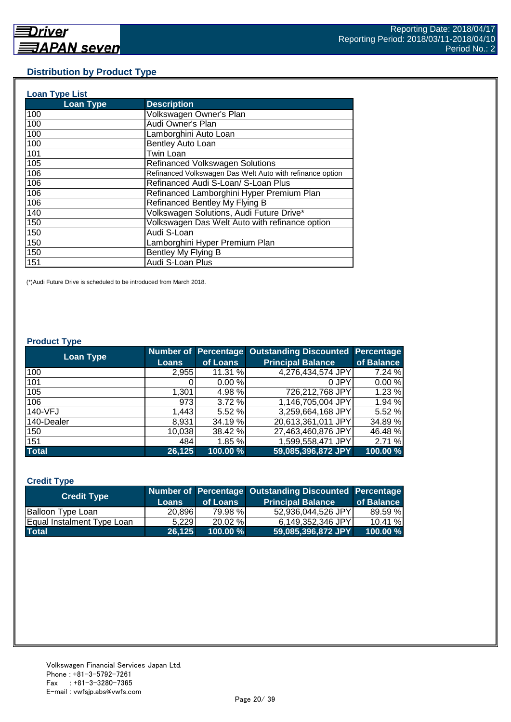#### **Distribution by Product Type**

| <b>Loan Type List</b> |                                                           |
|-----------------------|-----------------------------------------------------------|
| <b>Loan Type</b>      | <b>Description</b>                                        |
| 100                   | Volkswagen Owner's Plan                                   |
| 100                   | Audi Owner's Plan                                         |
| 100                   | Lamborghini Auto Loan                                     |
| 100                   | Bentley Auto Loan                                         |
| 101                   | <b>Twin Loan</b>                                          |
| 105                   | <b>Refinanced Volkswagen Solutions</b>                    |
| 106                   | Refinanced Volkswagen Das Welt Auto with refinance option |
| 106                   | Refinanced Audi S-Loan/ S-Loan Plus                       |
| 106                   | Refinanced Lamborghini Hyper Premium Plan                 |
| 106                   | Refinanced Bentley My Flying B                            |
| 140                   | Volkswagen Solutions, Audi Future Drive*                  |
| 150                   | Volkswagen Das Welt Auto with refinance option            |
| 150                   | Audi S-Loan                                               |
| 150                   | Lamborghini Hyper Premium Plan                            |
| 150                   | Bentley My Flying B                                       |
| 151                   | Audi S-Loan Plus                                          |

(\*)Audi Future Drive is scheduled to be introduced from March 2018.

#### **Product Type**

| <b>Loan Type</b> |              |          | <b>Number of Percentage Outstanding Discounted</b> | <b>Percentage</b> |
|------------------|--------------|----------|----------------------------------------------------|-------------------|
|                  | <b>Loans</b> | of Loans | <b>Principal Balance</b>                           | of Balance        |
| 100              | 2,955        | 11.31 %  | 4,276,434,574 JPY                                  | 7.24 %            |
| 101              |              | 0.00%    | 0 JPY                                              | 0.00%             |
| 105              | 1,301        | 4.98 %   | 726,212,768 JPY                                    | 1.23 %            |
| 106              | 973          | 3.72%    | 1,146,705,004 JPY                                  | 1.94 %            |
| 140-VFJ          | 1,443        | 5.52 %   | 3,259,664,168 JPY                                  | 5.52 %            |
| 140-Dealer       | 8,931        | 34.19 %  | 20,613,361,011 JPY                                 | 34.89 %           |
| 150              | 10,038       | 38.42 %  | 27,463,460,876 JPY                                 | 46.48 %           |
| 151              | 484          | 1.85 %   | 1,599,558,471 JPY                                  | 2.71 %            |
| <b>Total</b>     | 26,125       | 100.00 % | 59,085,396,872 JPY                                 | 100.00 %          |

#### **Credit Type**

| <b>Credit Type</b>         |        |             | Number of Percentage Outstanding Discounted Percentage |            |
|----------------------------|--------|-------------|--------------------------------------------------------|------------|
|                            | Loans  | of Loans    | <b>Principal Balance</b>                               | of Balance |
| <b>Balloon Type Loan</b>   | 20,896 | 79.98 %     | 52.936.044.526 JPYI                                    | 89.59 %    |
| Equal Instalment Type Loan | 5.229  | 20.02 %     | 6.149.352.346 JPYI                                     | 10.41%     |
| <b>Total</b>               | 26.125 | $100.00 \%$ | 59,085,396,872 JPY                                     | 100.00 %   |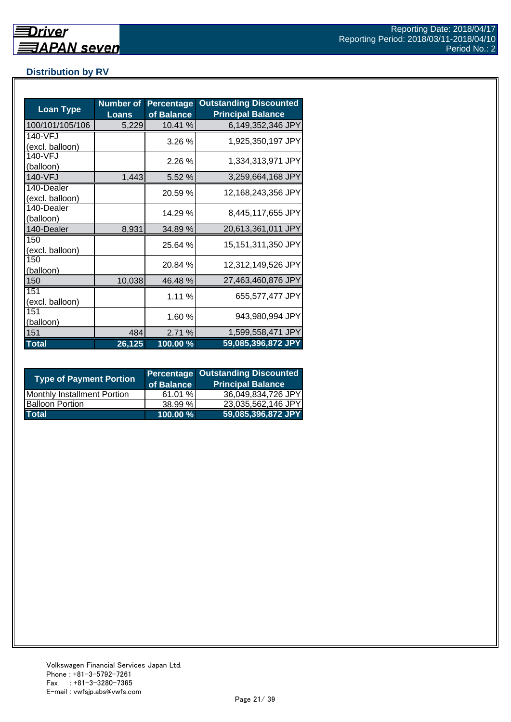## **Distribution by RV**

| <b>Loan Type</b>              | <b>Number of</b><br><b>Loans</b> | <b>Percentage</b><br>of Balance | <b>Outstanding Discounted</b><br><b>Principal Balance</b> |
|-------------------------------|----------------------------------|---------------------------------|-----------------------------------------------------------|
| 100/101/105/106               | 5,229                            | 10.41 %                         | 6,149,352,346 JPY                                         |
| 140-VFJ<br>(excl. balloon)    |                                  | 3.26%                           | 1,925,350,197 JPY                                         |
| 140-VFJ<br>(balloon)          |                                  | 2.26 %                          | 1,334,313,971 JPY                                         |
| 140-VFJ                       | 1,443                            | 5.52 %                          | 3,259,664,168 JPY                                         |
| 140-Dealer<br>(excl. balloon) |                                  | 20.59 %                         | 12,168,243,356 JPY                                        |
| 140-Dealer<br>(balloon)       |                                  | 14.29 %                         | 8,445,117,655 JPY                                         |
| 140-Dealer                    | 8,931                            | 34.89 %                         | 20,613,361,011 JPY                                        |
| 150<br>(excl. balloon)        |                                  | 25.64 %                         | 15,151,311,350 JPY                                        |
| 150<br>(balloon)              |                                  | 20.84 %                         | 12,312,149,526 JPY                                        |
| 150                           | 10,038                           | 46.48 %                         | 27,463,460,876 JPY                                        |
| 151<br>(excl. balloon)        |                                  | 1.11 %                          | 655,577,477 JPY                                           |
| 151<br>(balloon)              |                                  | 1.60 %                          | 943,980,994 JPY                                           |
| 151                           | 484                              | 2.71 %                          | 1,599,558,471 JPY                                         |
| <b>Total</b>                  | 26,125                           | 100.00 %                        | 59,085,396,872 JPY                                        |

| <b>Type of Payment Portion</b>     | of Balance | <b>Percentage Outstanding Discounted</b><br><b>Principal Balance</b> |
|------------------------------------|------------|----------------------------------------------------------------------|
| <b>Monthly Installment Portion</b> | 61.01 %    | 36,049,834,726 JPY                                                   |
| <b>Balloon Portion</b>             | 38.99%     | 23,035,562,146 JPY                                                   |
| <b>Total</b>                       | 100.00 %   | 59,085,396,872 JPY                                                   |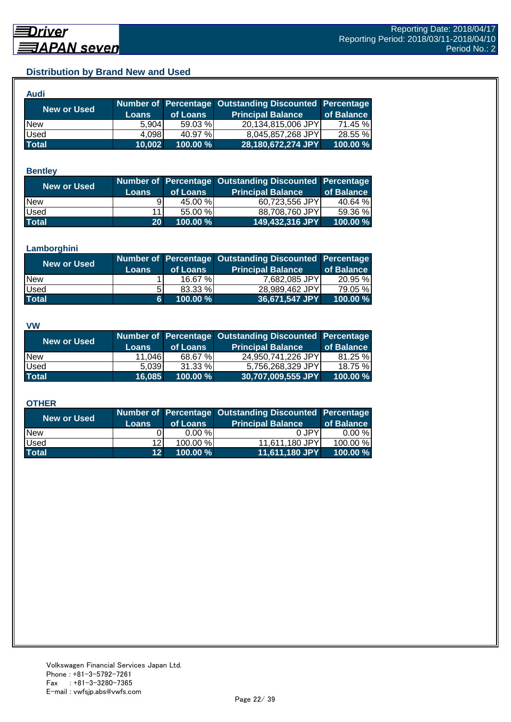## **Distribution by Brand New and Used**

| Audi         |        |             |                                                        |            |
|--------------|--------|-------------|--------------------------------------------------------|------------|
| New or Used  |        |             | Number of Percentage Outstanding Discounted Percentage |            |
|              | Loans  | of Loans    | <b>Principal Balance</b>                               | of Balance |
| <b>New</b>   | 5.904  | 59.03 %     | 20,134,815,006 JPY                                     | 71.45 %    |
| Used         | 4.098  | 40.97 %     | 8,045,857,268 JPY                                      | 28.55 %    |
| <b>Total</b> | 10,002 | $100.00 \%$ | 28,180,672,274 JPY                                     | 100.00 %   |

#### **Bentley**

| New or Used  | <b>Loans</b>    | of Loans | Number of Percentage Outstanding Discounted Percentage<br><b>Principal Balance</b> | of Balance |
|--------------|-----------------|----------|------------------------------------------------------------------------------------|------------|
| <b>New</b>   | ۹I              | 45.00 %  | 60,723,556 JPY                                                                     | 40.64 %    |
| <b>Used</b>  | 111             | 55.00 %  | 88,708,760 JPY                                                                     | 59.36 %l   |
| <b>Total</b> | 20 <sup>1</sup> | 100.00 % | 149,432,316 JPY                                                                    | 100.00 %   |

#### **Lamborghini**

| <b>New or Used</b> | <b>Loans</b> | of Loans | Number of Percentage Outstanding Discounted Percentage<br><b>Principal Balance</b> | of Balance |
|--------------------|--------------|----------|------------------------------------------------------------------------------------|------------|
| <b>New</b>         |              | 16.67 %  | 7,682,085 JPY                                                                      | 20.95 %    |
| <b>Used</b>        |              | 83.33 %  | 28.989.462 JPY                                                                     | 79.05 %    |
| <b>Total</b>       | 6            | 100.00 % | 36,671,547 JPY                                                                     | 100.00 %   |

#### **VW**

| <b>New or Used</b> |              |          | Number of Percentage Outstanding Discounted Percentage |            |
|--------------------|--------------|----------|--------------------------------------------------------|------------|
|                    | <b>Loans</b> | of Loans | <b>Principal Balance</b>                               | of Balance |
| <b>INew</b>        | 11,046       | 68.67 %  | 24,950,741,226 JPY                                     | 81.25 %    |
| <b>Used</b>        | 5.039        | 31.33 %  | 5,756,268,329 JPY                                      | 18.75 %    |
| <b>Total</b>       | 16.085       | 100.00 % | 30,707,009,555 JPY                                     | 100.00 %   |

#### **OTHER**

| <b>New or Used</b> | <b>Loans</b>    | of Loans | Number of Percentage Outstanding Discounted Percentage<br><b>Principal Balance</b> | of Balance |
|--------------------|-----------------|----------|------------------------------------------------------------------------------------|------------|
| <b>New</b>         |                 | 0.00%    | 0 JPY                                                                              | $0.00 \%$  |
| Used               | 12 <sub>l</sub> | 100.00 % | 11,611,180 JPY                                                                     | 100.00 %   |
| <b>Total</b>       | 12 <sup>1</sup> | 100.00 % | 11,611,180 JPY                                                                     | 100.00 %   |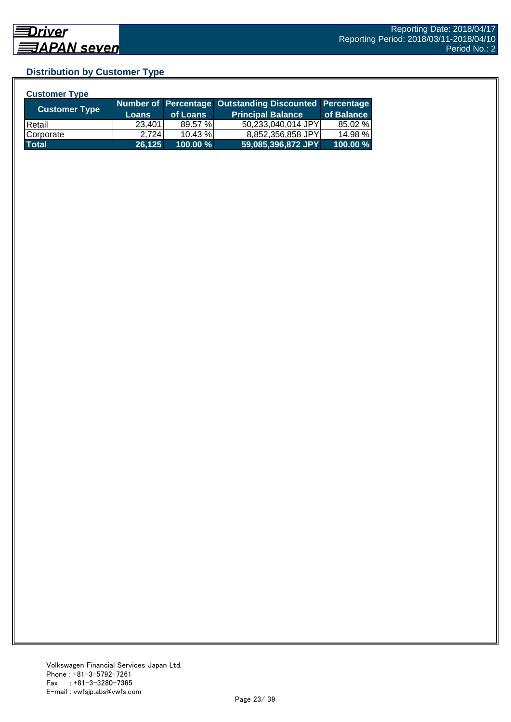## **Distribution by Customer Type**

| <b>Customer Type</b> |              |            |                                                        |            |
|----------------------|--------------|------------|--------------------------------------------------------|------------|
|                      |              |            | Number of Percentage Outstanding Discounted Percentage |            |
| <b>Customer Type</b> | <b>Loans</b> | of Loans   | <b>Principal Balance</b>                               | of Balance |
| <b>Retail</b>        | 23,401       | 89.57 %    | 50,233,040,014 JPY                                     | 85.02 %    |
| Corporate            | 2.724        | $10.43 \%$ | 8,852,356,858 JPY                                      | 14.98 %    |
| <b>Total</b>         | 26,125       | 100.00 %   | 59,085,396,872 JPY                                     | 100.00 %   |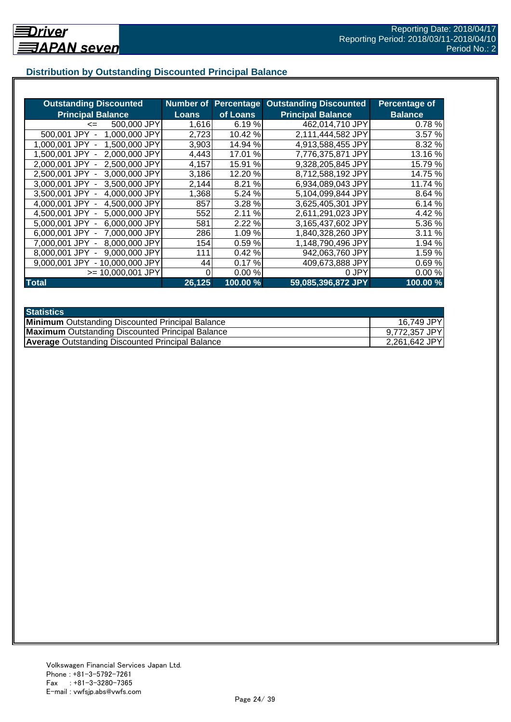## **Distribution by Outstanding Discounted Principal Balance**

| <b>Outstanding Discounted</b>      | <b>Number of</b> | <b>Percentage</b> | <b>Outstanding Discounted</b> | Percentage of  |
|------------------------------------|------------------|-------------------|-------------------------------|----------------|
| <b>Principal Balance</b>           | <b>Loans</b>     | of Loans          | <b>Principal Balance</b>      | <b>Balance</b> |
| 500,000 JPY<br>$\leq$              | 1,616            | 6.19%             | 462,014,710 JPY               | 0.78%          |
| 500,001 JPY<br>1,000,000 JPY       | 2,723            | 10.42 %           | 2,111,444,582 JPY             | 3.57 %         |
| 1,500,000 JPY<br>1.000.001 JPY -   | 3,903            | 14.94 %           | 4,913,588,455 JPY             | 8.32 %         |
| 2,000,000 JPY<br>1.500.001 JPY -   | 4,443            | 17.01<br>$\%$     | 7,776,375,871 JPY             | 13.16 %        |
| 2.500,000 JPY<br>2.000.001 JPY -   | 4,157            | 15.91<br>%        | 9,328,205,845 JPY             | 15.79 %        |
| 3,000,000 JPY<br>2,500,001 JPY -   | 3,186            | 12.20 %           | 8,712,588,192 JPY             | 14.75 %        |
| 3,500,000 JPY<br>3,000,001 JPY -   | 2,144            | 8.21 %            | 6,934,089,043 JPY             | 11.74 %        |
| 4,000,000 JPY<br>3.500.001 JPY -   | 1,368            | 5.24 %            | 5,104,099,844 JPY             | 8.64 %         |
| 4,000,001 JPY -<br>4,500,000 JPY   | 857              | 3.28 %            | 3,625,405,301 JPY             | 6.14 %         |
| 5,000,000 JPY<br>4,500,001 JPY -   | 552              | 2.11 %            | 2,611,291,023 JPY             | 4.42 %         |
| 6,000,000 JPY<br>5.000.001 JPY -   | 581              | 2.22 %            | 3,165,437,602 JPY             | 5.36 %         |
| 7,000,000 JPY<br>$6.000.001$ JPY - | 286              | 1.09%             | 1,840,328,260 JPY             | 3.11 %         |
| 8,000,000 JPY<br>7,000,001 JPY -   | 154              | 0.59%             | 1,148,790,496 JPY             | 1.94 %         |
| 9,000,000 JPY<br>8.000.001 JPY     | 111              | 0.42%             | 942,063,760 JPY               | 1.59%          |
| - 10,000,000 JPY<br>9,000,001 JPY  | 44               | 0.17%             | 409,673,888 JPY               | 0.69%          |
| $>= 10,000,001$ JPY                |                  | 0.00%             | 0 JPY                         | 0.00%          |
| <b>Total</b>                       | 26,125           | 100.00 %          | 59,085,396,872 JPY            | 100.00 %       |

| <b>Statistics</b>                                       |               |
|---------------------------------------------------------|---------------|
| <b>Minimum</b> Outstanding Discounted Principal Balance | 16,749 JPY    |
| <b>Maximum</b> Outstanding Discounted Principal Balance | 9,772,357 JPY |
| <b>Average Outstanding Discounted Principal Balance</b> | 2,261,642 JPY |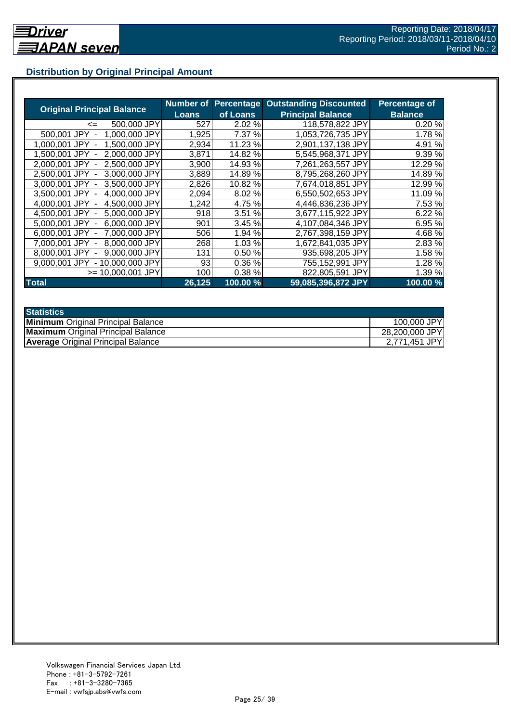## **Distribution by Original Principal Amount**

|                                           | Number of |          | <b>Percentage Outstanding Discounted</b> | Percentage of  |
|-------------------------------------------|-----------|----------|------------------------------------------|----------------|
| <b>Original Principal Balance</b>         | Loans     | of Loans | <b>Principal Balance</b>                 | <b>Balance</b> |
| 500,000 JPY<br><=                         | 527       | 2.02 %   | 118,578,822 JPY                          | 0.20%          |
| 1,000,000 JPY<br>500,001 JPY              | 1,925     | 7.37 %   | 1,053,726,735 JPY                        | 1.78%          |
| 1,500,000 JPY<br>1.000.001<br>JPY         | 2,934     | 11.23 %  | 2,901,137,138 JPY                        | 4.91 %         |
| 2.000.000 JPY<br>1.500.001 JPY            | 3,871     | 14.82 %  | 5,545,968,371 JPY                        | 9.39%          |
| 2,500,000 JPY<br>2.000.001 JPY -          | 3,900     | 14.93 %  | 7,261,263,557 JPY                        | 12.29 %        |
| 2,500,001 JPY -<br>3,000,000 JPY          | 3,889     | 14.89%   | 8,795,268,260 JPY                        | 14.89 %        |
| 3.000.001 JPY -<br>3.500,000 JPY          | 2,826     | 10.82 %  | 7,674,018,851 JPY                        | 12.99 %        |
| 3,500,001 JPY -<br>4,000,000 JPY          | 2,094     | 8.02%    | 6,550,502,653 JPY                        | 11.09 %        |
| 4,500,000 JPY<br>4.000.001 JPY -          | 1,242     | 4.75 %   | 4,446,836,236 JPY                        | 7.53 %         |
| 4,500,001 JPY -<br>5,000,000 JPY          | 918       | 3.51 %   | 3,677,115,922 JPY                        | 6.22 %         |
| 6,000,000 JPY<br>5.000.001 JPY -          | 901       | 3.45 %   | 4,107,084,346 JPY                        | 6.95 %         |
| 7,000,000 JPY<br>6.000.001 JPY -          | 506       | 1.94 %   | 2,767,398,159 JPY                        | 4.68%          |
| 8,000,000 JPY<br>7.000.001 JPY            | 268       | 1.03%    | 1,672,841,035 JPY                        | 2.83 %         |
| 9,000,000 JPY<br>8.000.001 JPY            | 131       | 0.50%    | 935,698,205 JPY                          | 1.58 %         |
| 9.000.001 JPY<br>10.000.000 JPY<br>$\sim$ | 93        | 0.36%    | 755,152,991 JPY                          | 1.28%          |
| >= 10.000.001 JPY                         | 1001      | 0.38%    | 822,805,591 JPY                          | 1.39 %         |
| <b>Total</b>                              | 26,125    | 100.00 % | 59,085,396,872 JPY                       | 100.00 %       |

| <b>Statistics</b>                         |                |
|-------------------------------------------|----------------|
| <b>Minimum</b> Original Principal Balance | 100,000 JPY    |
| <b>Maximum</b> Original Principal Balance | 28,200,000 JPY |
| <b>Average Original Principal Balance</b> | 2,771,451 JPY  |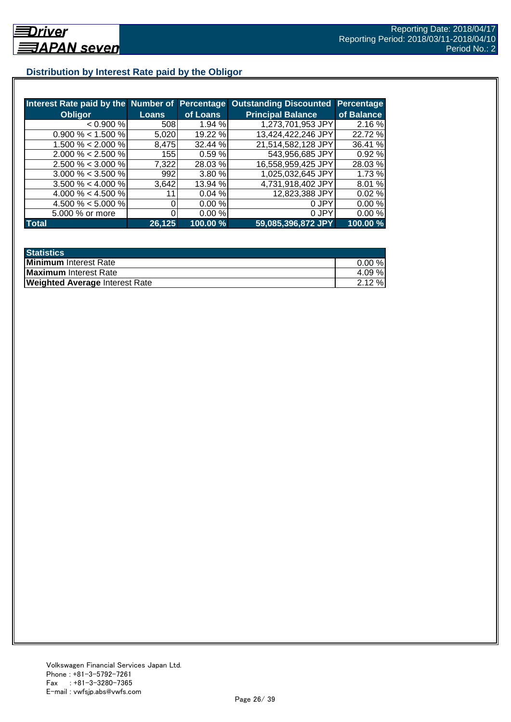## **Distribution by Interest Rate paid by the Obligor**

| Interest Rate paid by the Number of Percentage |                      |          | <b>Outstanding Discounted</b> | Percentage |
|------------------------------------------------|----------------------|----------|-------------------------------|------------|
| <b>Obligor</b>                                 | <b>Loans</b>         | of Loans | <b>Principal Balance</b>      | of Balance |
| < 0.900 %                                      | 508                  | 1.94%    | 1,273,701,953 JPY             | 2.16%      |
| $0.900\% < 1.500\%$                            | 5,020                | 19.22 %  | 13,424,422,246 JPY            | 22.72 %    |
| $1.500\% < 2.000\%$                            | 8,475                | 32.44 %  | 21,514,582,128 JPY            | 36.41 %    |
| $2.000\% < 2.500\%$                            | <b>155</b>           | 0.59%    | 543,956,685 JPY               | 0.92%      |
| $2.500\% < 3.000\%$                            | 7,322                | 28.03 %  | 16,558,959,425 JPY            | 28.03%     |
| $3.000\% < 3.500\%$                            | 992                  | 3.80%    | 1,025,032,645 JPY             | 1.73 %     |
| $3.500\% < 4.000\%$                            | 3,642                | 13.94 %  | 4,731,918,402 JPY             | 8.01 %     |
| 4.000 % < 4.500 %                              |                      | 0.04%    | 12,823,388 JPY                | 0.02%      |
| 4.500 % < 5.000 %                              |                      | 0.00 %   | 0 JPY                         | 0.00%      |
| 5.000 % or more                                |                      | 0.00%    | 0 JPY                         | 0.00%      |
| <b>Total</b>                                   | $\overline{26, 125}$ | 100.00 % | 59,085,396,872 JPY            | 100.00%    |

| <b>Statistics</b>                     |           |
|---------------------------------------|-----------|
| Minimum Interest Rate                 | $0.00 \%$ |
| Maximum Interest Rate                 | 4.09 %    |
| <b>Weighted Average Interest Rate</b> | $2.12 \%$ |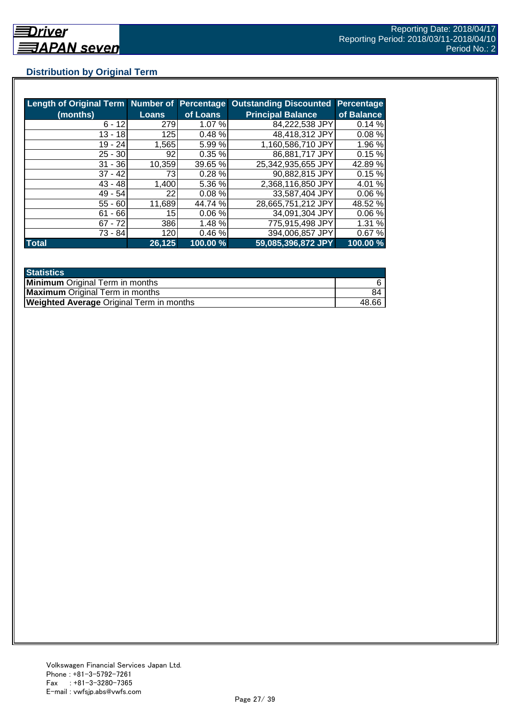## **Distribution by Original Term**

| Length of Original Term Number of Percentage |                 |          | <b>Outstanding Discounted</b> | <b>Percentage</b> |
|----------------------------------------------|-----------------|----------|-------------------------------|-------------------|
| (months)                                     | <b>Loans</b>    | of Loans | <b>Principal Balance</b>      | of Balance        |
| $6 - 12$                                     | 279             | 1.07 %   | 84,222,538 JPY                | 0.14%             |
| $13 - 18$                                    | 125             | 0.48%    | 48,418,312 JPY                | 0.08%             |
| $19 - 24$                                    | 1,565           | 5.99%    | 1,160,586,710 JPY             | 1.96 %            |
| $25 - 30$                                    | 92              | 0.35%    | 86,881,717 JPY                | 0.15%             |
| $31 - 36$                                    | 10,359          | 39.65 %  | 25,342,935,655 JPY            | 42.89%            |
| $37 - 42$                                    | 73I             | 0.28%    | 90,882,815 JPY                | 0.15%             |
| $43 - 48$                                    | 1,400           | 5.36 %   | 2,368,116,850 JPY             | 4.01 %            |
| $49 - 54$                                    | 22 <sub>l</sub> | 0.08%    | 33,587,404 JPY                | 0.06%             |
| $55 - 60$                                    | 11,689          | 44.74 %  | 28,665,751,212 JPY            | 48.52 %           |
| $61 - 66$                                    | 15              | 0.06%    | 34,091,304 JPY                | 0.06%             |
| $67 - 72$                                    | 386             | 1.48 %   | 775,915,498 JPY               | 1.31%             |
| 73 - 84                                      | 120             | 0.46%    | 394,006,857 JPY               | 0.67%             |
| <b>Total</b>                                 | 26,125          | 100.00 % | 59,085,396,872 JPY            | 100.00 %          |

| <b>Statistics</b>                               |       |
|-------------------------------------------------|-------|
| <b>Minimum</b> Original Term in months          |       |
| <b>Maximum</b> Original Term in months          | 84    |
| <b>Weighted Average Original Term in months</b> | 48.66 |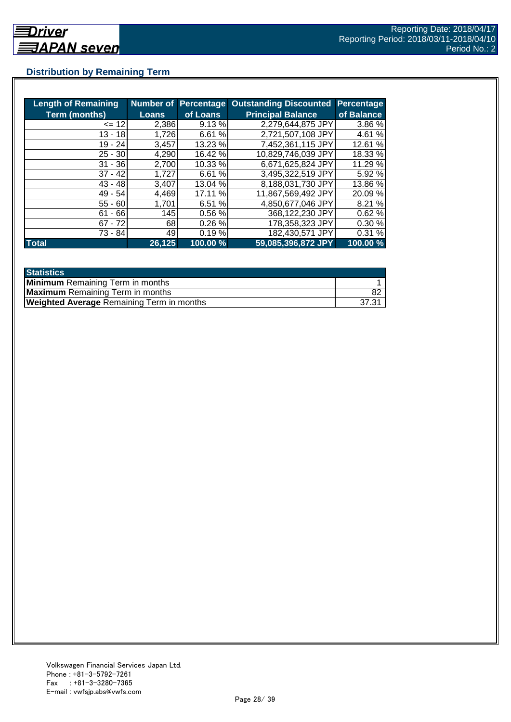## **Distribution by Remaining Term**

| <b>Length of Remaining</b> |              |          | <b>Number of Percentage Outstanding Discounted</b> | <b>Percentage</b> |
|----------------------------|--------------|----------|----------------------------------------------------|-------------------|
| <b>Term (months)</b>       | <b>Loans</b> | of Loans | <b>Principal Balance</b>                           | of Balance        |
| $= 12$                     | 2,386        | 9.13 %   | 2,279,644,875 JPY                                  | 3.86 %            |
| $13 - 18$                  | 1,726        | 6.61%    | 2,721,507,108 JPY                                  | 4.61 %            |
| $19 - 24$                  | 3,457        | 13.23 %  | 7,452,361,115 JPY                                  | 12.61 %           |
| $25 - 30$                  | 4,290        | 16.42 %  | 10,829,746,039 JPY                                 | 18.33 %           |
| $31 - 36$                  | 2,700        | 10.33 %  | 6,671,625,824 JPY                                  | 11.29 %           |
| $37 - 42$                  | 1,727        | 6.61 %   | 3,495,322,519 JPY                                  | 5.92 %            |
| $43 - 48$                  | 3,407        | 13.04 %  | 8,188,031,730 JPY                                  | 13.86%            |
| $49 - 54$                  | 4,469        | 17.11 %  | 11,867,569,492 JPY                                 | 20.09 %           |
| $55 - 60$                  | 1,701        | 6.51 %   | 4,850,677,046 JPY                                  | 8.21 %            |
| $61 - 66$                  | 145          | 0.56%    | 368,122,230 JPY                                    | 0.62%             |
| $67 - 72$                  | 68           | 0.26%    | 178,358,323 JPY                                    | 0.30%             |
| 73 - 84                    | 49           | 0.19%    | 182,430,571 JPY                                    | 0.31%             |
| <b>Total</b>               | 26, 125      | 100.00 % | 59,085,396,872 JPY                                 | 100.00 %          |

| <b>Statistics</b>                                |       |
|--------------------------------------------------|-------|
| <b>Minimum</b> Remaining Term in months          |       |
| <b>Maximum</b> Remaining Term in months          |       |
| <b>Weighted Average Remaining Term in months</b> | 37.31 |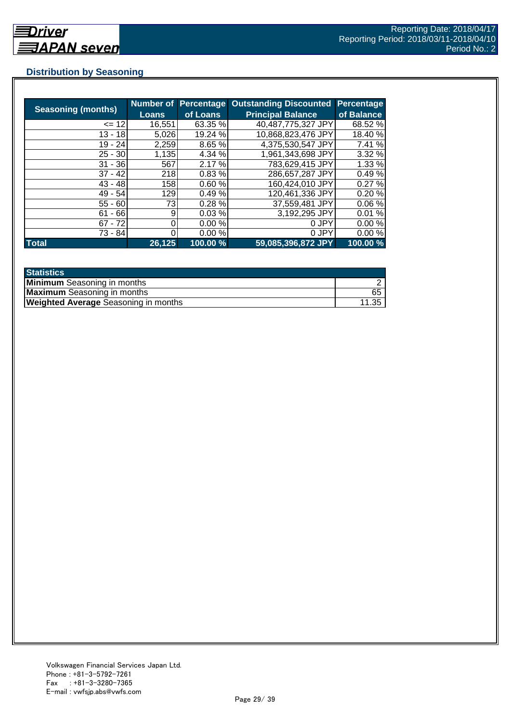## **Distribution by Seasoning**

| <b>Seasoning (months)</b> | <b>Loans</b> | <b>Number of Percentage</b><br>of Loans | <b>Outstanding Discounted</b><br><b>Principal Balance</b> | <b>Percentage</b><br>of Balance |
|---------------------------|--------------|-----------------------------------------|-----------------------------------------------------------|---------------------------------|
| $= 12$                    | 16,551       | 63.35 %                                 | 40,487,775,327 JPY                                        | 68.52 %                         |
| $13 - 18$                 | 5,026        | 19.24 %                                 | 10,868,823,476 JPY                                        | 18.40 %                         |
| $19 - 24$                 | 2,259        | 8.65 %                                  | 4,375,530,547 JPY                                         | 7.41 %                          |
| $25 - 30$                 | 1,135        | 4.34 %                                  | 1,961,343,698 JPY                                         | 3.32 %                          |
| $31 - 36$                 | 567          | 2.17 %                                  | 783,629,415 JPY                                           | 1.33 %                          |
| $37 - 42$                 | 218          | 0.83%                                   | 286,657,287 JPY                                           | 0.49%                           |
| $43 - 48$                 | 158          | 0.60%                                   | 160,424,010 JPY                                           | 0.27%                           |
| $49 - 54$                 | 129          | 0.49%                                   | 120,461,336 JPY                                           | 0.20%                           |
| $55 - 60$                 | 73           | 0.28%                                   | 37,559,481 JPY                                            | 0.06%                           |
| $61 - 66$                 | 9            | 0.03%                                   | 3,192,295 JPY                                             | 0.01%                           |
| $67 - 72$                 |              | 0.00%                                   | 0 JPY                                                     | 0.00%                           |
| 73 - 84                   |              | 0.00%                                   | 0 JPY                                                     | 0.00%                           |
| <b>Total</b>              | 26,125       | 100.00 %                                | 59,085,396,872 JPY                                        | 100.00 %                        |

| <b>Statistics</b>                           |       |
|---------------------------------------------|-------|
| <b>Minimum</b> Seasoning in months          |       |
| <b>Maximum</b> Seasoning in months          | 65    |
| <b>Weighted Average Seasoning in months</b> | 11.35 |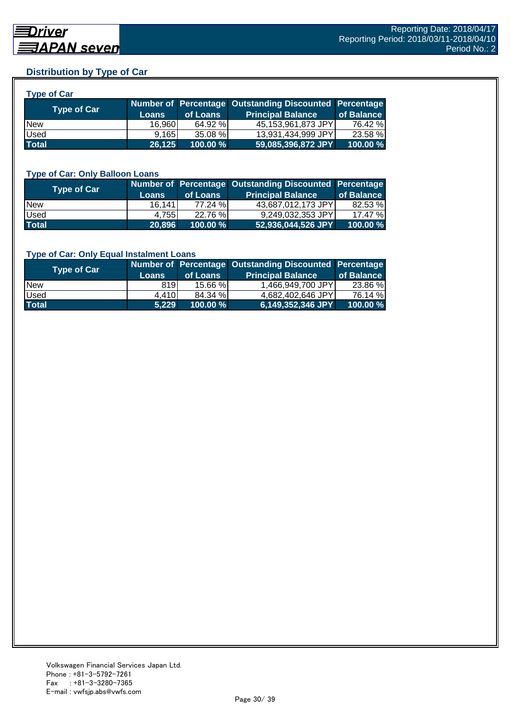## **Distribution by Type of Car**

| <b>Type of Car</b> |              |          |                                                        |            |
|--------------------|--------------|----------|--------------------------------------------------------|------------|
|                    |              |          | Number of Percentage Outstanding Discounted Percentage |            |
| Type of Car        | <b>Loans</b> | of Loans | <b>Principal Balance</b>                               | of Balance |
| <b>New</b>         | 16,960       | 64.92 %  | 45,153,961,873 JPY                                     | 76.42 %    |
| Used               | 9,165        | 35.08 %  | 13,931,434,999 JPY                                     | 23.58 %    |
| <b>Total</b>       | 26,125       | 100.00 % | 59,085,396,872 JPY                                     | 100.00 %   |

#### **Type of Car: Only Balloon Loans**

| <b>Type of Car</b> | <b>Loans</b> | of Loans | Number of Percentage Outstanding Discounted Percentage<br><b>Principal Balance</b> | of Balance |
|--------------------|--------------|----------|------------------------------------------------------------------------------------|------------|
| <b>New</b>         | 16,1411      | 77.24 %  | 43,687,012,173 JPY                                                                 | 82.53 %    |
| Used               | 4.7551       | 22.76 %  | 9,249,032,353 JPY                                                                  | 17.47%     |
| <b>Total</b>       | 20.896       | 100.00 % | 52,936,044,526 JPY                                                                 | 100.00%    |

#### **Type of Car: Only Equal Instalment Loans**

| <b>Type of Car</b> |              |             | Number of Percentage Outstanding Discounted Percentage |            |
|--------------------|--------------|-------------|--------------------------------------------------------|------------|
|                    | <b>Loans</b> | of Loans    | <b>Principal Balance</b>                               | of Balance |
| <b>New</b>         | 819          | $15.66\%$   | 1,466,949,700 JPY                                      | 23.86 %    |
| <b>Used</b>        | 4.410        | 84.34 %     | 4.682.402.646 JPYI                                     | 76.14 %    |
| <b>Total</b>       | 5.229        | $100.00 \%$ | 6,149,352,346 JPY                                      | 100.00 %   |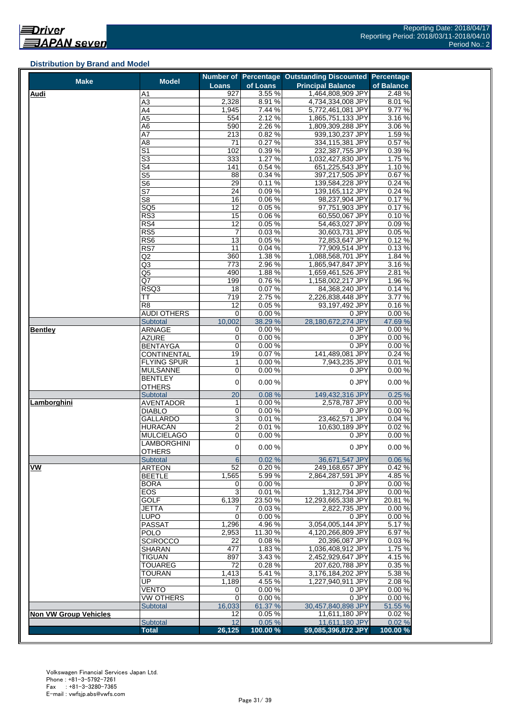#### **Distribution by Brand and Model**

| <b>Make</b>                  | <b>Model</b>              |                 |                  | Number of Percentage Outstanding Discounted Percentage |                  |
|------------------------------|---------------------------|-----------------|------------------|--------------------------------------------------------|------------------|
|                              |                           | <b>Loans</b>    | of Loans         | <b>Principal Balance</b>                               | of Balance       |
| <b>Audi</b>                  | A1                        | 927             | 3.55%            | 1,464,808,909 JPY                                      | 2.48 %           |
|                              | $\overline{A3}$           | 2,328           | 8.91%            | 4,734,334,008 JPY                                      | 8.01%            |
|                              | A4                        | 1,945           | 7.44 %           | 5,772,461,081 JPY                                      | 9.77%            |
|                              | A5                        | 554             | 2.12%            | 1,865,751,133 JPY                                      | 3.16%            |
|                              | A6<br>A7                  | 590             | 2.26 %           | 1,809,309,288 JPY                                      | 3.06 %           |
|                              | A <sub>8</sub>            | 213<br>71       | 0.82%<br>0.27%   | 939,130,237 JPY<br>334,115,381 JPY                     | 1.59%<br>0.57%   |
|                              | $\overline{\mathsf{S}1}$  | 102             | 0.39%            | 232,387,755 JPY                                        | 0.39%            |
|                              | $\overline{\mathbb{S}^3}$ | 333             | 1.27%            | 1,032,427,830 JPY                                      | 1.75 %           |
|                              | S4                        | 141             | 0.54%            | 651,225,543 JPY                                        | 1.10%            |
|                              | $\overline{\text{S5}}$    | 88              | 0.34%            | 397.217.505 JPY                                        | 0.67%            |
|                              | S <sub>6</sub>            | 29              | 0.11%            | 139,584,228 JPY                                        | 0.24%            |
|                              | $\overline{\mathsf{S}7}$  | 24              | 0.09%            | 139,165,112 JPY                                        | 0.24%            |
|                              | S <sub>8</sub>            | 16              | 0.06%            | 98,237,904 JPY                                         | 0.17%            |
|                              | SQ <sub>5</sub>           | $\overline{12}$ | 0.05%            | 97,751,903 JPY                                         | 0.17%            |
|                              | RS3                       | 15              | 0.06%            | 60,550,067 JPY                                         | 0.10%            |
|                              | RS4                       | 12              | 0.05%            | 54,463,027 JPY                                         | 0.09%            |
|                              | RS <sub>5</sub>           | 7               | 0.03%            | 30,603,731 JPY                                         | 0.05%            |
|                              | RS6                       | 13              | 0.05%            | 72,853,647 JPY                                         | 0.12%            |
|                              | RS7                       | 11              | 0.04%            | 77,909,514 JPY                                         | 0.13%            |
|                              | Q2                        | 360             | 1.38%            | 1,088,568,701 JPY                                      | 1.84 %           |
|                              | Q3                        | 773             | 2.96%            | 1,865,947,847 JPY                                      | 3.16%            |
|                              | Q5                        | 490             | 1.88%            | 1,659,461,526 JPY                                      | 2.81%            |
|                              | Q7                        | 199             | 0.76%            | 1,158,002,217 JPY                                      | 1.96%            |
|                              | RSQ3                      | 18              | 0.07%            | 84,368,240 JPY                                         | 0.14%            |
|                              | TT                        | 719             | 2.75%            | 2,226,838,448 JPY                                      | 3.77 %           |
|                              | R <sub>8</sub>            | 12              | 0.05%            | 93,197,492 JPY<br>0 JPY                                | 0.16%            |
|                              | AUDI OTHERS               | 0<br>10,002     | 0.00%<br>38.29 % | 28,180,672,274 JPY                                     | 0.00%<br>47.69 % |
| <b>Bentley</b>               | Subtotal<br><b>ARNAGE</b> | 0               | 0.00%            | 0 JPY                                                  | 0.00%            |
|                              | <b>AZURE</b>              | 0               | 0.00%            | 0 JPY                                                  | 0.00%            |
|                              | <b>BENTAYGA</b>           | 0               | 0.00%            | 0 JPY                                                  | 0.00%            |
|                              | <b>CONTINENTAL</b>        | 19              | 0.07%            | 141,489,081 JPY                                        | 0.24%            |
|                              | <b>FLYING SPUR</b>        | 1               | 0.00%            | 7,943,235 JPY                                          | 0.01%            |
|                              | <b>MULSANNE</b>           | 0               | 0.00%            | 0 JPY                                                  | 0.00%            |
|                              | BENTLEY                   |                 |                  |                                                        |                  |
|                              | <b>OTHERS</b>             | $\overline{0}$  | 0.00%            | 0 JPY                                                  | 0.00%            |
|                              | Subtotal                  | 20              | 0.08%            | 149,432,316 JPY                                        | 0.25%            |
| Lamborghini                  | <b>AVENTADOR</b>          | $\mathbf{1}$    | 0.00%            | 2,578,787 JPY                                          | 0.00%            |
|                              | <b>DIABLO</b>             | 0               | 0.00%            | 0 JPY                                                  | 0.00%            |
|                              | GALLARDO                  | $\overline{3}$  | 0.01%            | 23,462,571 JPY                                         | 0.04%            |
|                              | HURACÁN                   | $\overline{2}$  | 0.01%            | 10,630,189 JPY                                         | 0.02%            |
|                              | <b>MULCIELAGO</b>         | 0               | 0.00%            | 0 JPY                                                  | 0.00%            |
|                              | <b>LAMBORGHINI</b>        | $\pmb{0}$       | 0.00%            | 0 JPY                                                  | 0.00%            |
|                              | <b>OTHERS</b>             |                 |                  |                                                        |                  |
| VW                           | Subtotal<br><b>ARTEON</b> | 6<br>52         | 0.02%<br>0.20%   | 36,671,547 JPY                                         | 0.06%<br>0.42%   |
|                              | <b>BEETLE</b>             | 1,565           | 5.99%            | 249,168,657 JPY<br>2,864,287,591 JPY                   | 4.85%            |
|                              | <b>BORA</b>               | 0               | 0.00%            | 0 JPY                                                  | 0.00%            |
|                              | EOS                       | 3               | 0.01%            | 1,312,734 JPY                                          | 0.00%            |
|                              | <b>GOLF</b>               | 6,139           | 23.50 %          | 12,293,665,338 JPY                                     | 20.81%           |
|                              | <b>JETTA</b>              | 7               | 0.03%            | 2,822,735 JPY                                          | 0.00%            |
|                              | <b>LUPO</b>               | $\mathbf 0$     | 0.00%            | 0 JPY                                                  | 0.00%            |
|                              | <b>PASSAT</b>             | 1,296           | 4.96%            | 3,054,005,144 JPY                                      | 5.17%            |
|                              | <b>POLO</b>               | 2,953           | 11.30 %          | 4,120,266,809 JPY                                      | 6.97%            |
|                              | <b>SCIROCCO</b>           | 22              | 0.08%            | 20,396,087 JPY                                         | 0.03%            |
|                              | SHARAN                    | 477             | 1.83%            | 1.036.408.912 JPY                                      | 1.75 %           |
|                              | <b>TIGUAN</b>             | 897             | 3.43%            | 2,452,929,647 JPY                                      | 4.15%            |
|                              | <b>TOUAREG</b>            | 72              | 0.28%            | 207,620,788 JPY                                        | 0.35%            |
|                              | <b>TOURAN</b>             | 1,413           | 5.41%            | 3,176,184,202 JPY                                      | 5.38 %           |
|                              | UP                        | 1,189           | 4.55%            | 1,227,940,911 JPY                                      | 2.08%            |
|                              | <b>VENTO</b>              | 0               | 0.00%            | 0 JPY                                                  | 0.00%            |
|                              | <b>VW OTHERS</b>          | 0               | 0.00%            | 0 JPY                                                  | 0.00%            |
|                              | Subtotal                  | 16,033          | 61.37 %          | 30,457,840,898 JPY                                     | 51.55 %          |
| <b>Non VW Group Vehicles</b> |                           | 12              | 0.05%            | 11,611,180 JPY                                         | 0.02%            |
|                              | Subtotal                  | 12              | 0.05%            | 11,611,180 JPY                                         | 0.02%            |
|                              | <b>Total</b>              | 26,125          | 100.00%          | 59,085,396,872 JPY                                     | 100.00 %         |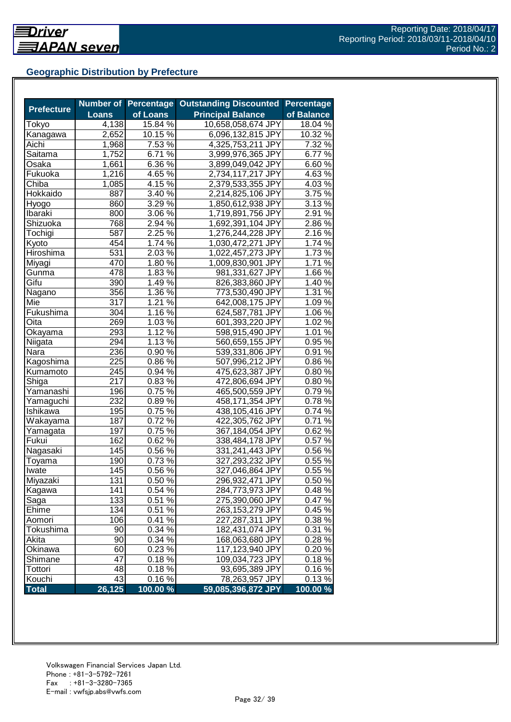## **Geographic Distribution by Prefecture**

| <b>Prefecture</b> |                    | <b>Number of Percentage</b> | <b>Outstanding Discounted</b> | <b>Percentage</b> |
|-------------------|--------------------|-----------------------------|-------------------------------|-------------------|
|                   | <b>Loans</b>       | of Loans                    | <b>Principal Balance</b>      | of Balance        |
| Tokyo             | $\overline{4,138}$ | 15.84 %                     | 10,658,058,674 JPY            | 18.04 %           |
| Kanagawa          | 2,652              | 10.15 %                     | 6,096,132,815 JPY             | 10.32 %           |
| Aichi             | 1,968              | 7.53 %                      | 4,325,753,211 JPY             | 7.32%             |
| Saitama           | 1,752              | 6.71 %                      | 3,999,976,365 JPY             | 6.77%             |
| Osaka             | 1,661              | 6.36 %                      | 3,899,049,042 JPY             | 6.60%             |
| Fukuoka           | 1,216              | $4.65\,\sqrt{6}$            | 2,734,117,217 JPY             | 4.63%             |
| Chiba             | 1,085              | $4.15\,\sqrt{6}$            | 2,379,533,355 JPY             | 4.03%             |
| Hokkaido          | 887                | $3.40\%$                    | 2,214,825,106 JPY             | 3.75 %            |
| Hyogo             | 860                | $3.29\%$                    | 1,850,612,938 JPY             | $3.13\,\sqrt{2}$  |
| Ibaraki           | 800                | 3.06 %                      | 1,719,891,756 JPY             | 2.91 %            |
| Shizuoka          | 768                | 2.94 %                      | 1,692,391,104 JPY             | 2.86%             |
| Tochigi           | 587                | 2.25 %                      | 1,276,244,228 JPY             | 2.16%             |
| Kyoto             | 454                | 1.74 %                      | 1,030,472,271 JPY             | 1.74 %            |
| Hiroshima         | 531                | 2.03 %                      | 1,022,457,273 JPY             | 1.73%             |
| Miyagi            | 470                | 1.80%                       | 1,009,830,901 JPY             | 1.71%             |
| Gunma             | 478                | 1.83 %                      | 981,331,627 JPY               | 1.66 %            |
| Gifu              | 390                | 1.49 %                      | 826,383,860 JPY               | 1.40%             |
| Nagano            | 356                | $1.36\%$                    | 773,530,490 JPY               | 1.31 %            |
| Mie               | 317                | $1.21\%$                    | 642,008,175 JPY               | $1.09\%$          |
| Fukushima         | 304                | 1.16 %                      | 624,587,781 JPY               | 1.06 %            |
| Oita              | 269                | 1.03 %                      | 601,393,220 JPY               | $1.02\%$          |
| Okayama           | 293                | 1.12%                       | 598,915,490 JPY               | 1.01%             |
| Niigata           | 294                | 1.13 %                      | 560,659,155 JPY               | 0.95%             |
| Nara              | 236                | 0.90%                       | 539,331,806 JPY               | 0.91%             |
| Kagoshima         | 225                | $0.86\%$                    | 507,996,212 JPY               | 0.86%             |
| Kumamoto          | 245                | 0.94 %                      | 475,623,387 JPY               | 0.80%             |
| Shiga             | 217                | 0.83%                       | 472,806,694 JPY               | 0.80%             |
| Yamanashi         | 196                | 0.75 %                      | 465,500,559 JPY               | 0.79%             |
| Yamaguchi         | 232                | 0.89%                       | 458,171,354 JPY               | 0.78%             |
| Ishikawa          | 195                | 0.75 %                      | 438,105,416 JPY               | 0.74 %            |
| Wakayama          | 187                | $0.72\sqrt{2}$              | 422,305,762 JPY               | 0.71%             |
| Yamagata          | 197                | $0.75\sqrt{2}$              | 367,184,054 JPY               | 0.62%             |
| Fukui             | 162                | $0.62\%$                    | 338,484,178 JPY               | 0.57 %            |
| Nagasaki          | 145                | $0.56\%$                    | 331,241,443 JPY               | 0.56%             |
| Toyama            | 190                | 0.73%                       | 327,293,232 JPY               | 0.55 %            |
| Iwate             | 145                | 0.56%                       | 327,046,864 JPY               | 0.55 %            |
| Miyazaki          | 131                | 0.50%                       | 296,932,471 JPY               | 0.50%             |
| Kagawa            | 141                | 0.54 %                      | 284,773,973 JPY               | 0.48%             |
| Saga              | 133                | 0.51%                       | 275,390,060 JPY               | 0.47%             |
| Ehime             | 134                | 0.51 %                      | 263,153,279 JPY               | 0.45 %            |
| Aomori            | 106                | 0.41 %                      | 227,287,311 JPY               | 0.38%             |
| Tokushima         | 90                 | 0.34 %                      | 182,431,074 JPY               | 0.31%             |
| Akita             | 90                 | 0.34 %                      | 168,063,680 JPY               | 0.28%             |
| Okinawa           | 60                 | 0.23%                       | 117,123,940 JPY               | 0.20%             |
| Shimane           | 47                 | 0.18%                       | 109,034,723 JPY               | 0.18%             |
| Tottori           | 48                 | 0.18%                       | 93,695,389 JPY                | 0.16%             |
| Kouchi            | 43                 | 0.16%                       | 78,263,957 JPY                | 0.13%             |
| <b>Total</b>      | 26,125             | 100.00 %                    | 59,085,396,872 JPY            | 100.00 %          |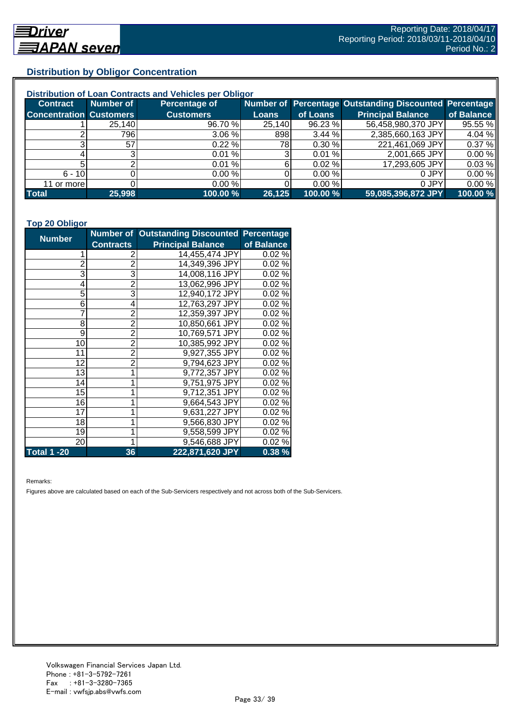## **Distribution by Obligor Concentration**

| Distribution of Loan Contracts and Vehicles per Obligor |                 |                  |        |           |                                                        |            |  |
|---------------------------------------------------------|-----------------|------------------|--------|-----------|--------------------------------------------------------|------------|--|
| <b>Contract</b>                                         | Number of       | Percentage of    |        |           | Number of Percentage Outstanding Discounted Percentage |            |  |
| <b>Concentration Customers</b>                          |                 | <b>Customers</b> | Loans  | of Loans  | <b>Principal Balance</b>                               | of Balance |  |
|                                                         | 25,140          | 96.70 %          | 25,140 | 96.23 %   | 56,458,980,370 JPY                                     | 95.55 %    |  |
|                                                         | 7961            | 3.06%            | 898    | 3.44%     | 2,385,660,163 JPY                                      | 4.04 %     |  |
| ົ                                                       | 57 <sub>l</sub> | 0.22%            | 78I    | 0.30%     | 221,461,069 JPY                                        | 0.37%      |  |
|                                                         |                 | 0.01%            |        | 0.01%     | 2,001,665 JPY                                          | 0.00%      |  |
|                                                         |                 | 0.01%            | 61     | $0.02 \%$ | 17,293,605 JPY                                         | 0.03%      |  |
| $6 - 10$                                                |                 | 0.00%            |        | 0.00%     | 0 JPY                                                  | 0.00%      |  |
| 11 or more                                              |                 | 0.00%            |        | 0.00%     | 0 JPY                                                  | 0.00%      |  |
| <b>Total</b>                                            | 25,998          | 100.00 %         | 26,125 | 100.00 %  | 59,085,396,872 JPY                                     | 100.00 %   |  |

#### **Top 20 Obligor**

| <b>Number</b>      |                  | Number of Outstanding Discounted Percentage |            |
|--------------------|------------------|---------------------------------------------|------------|
|                    | <b>Contracts</b> | <b>Principal Balance</b>                    | of Balance |
| 1                  | 2                | 14,455,474 JPY                              | 0.02%      |
| $\overline{2}$     | $\overline{2}$   | 14,349,396 JPY                              | 0.02%      |
| 3                  | 3                | 14,008,116 JPY                              | 0.02%      |
| 4                  | 2                | 13,062,996 JPY                              | 0.02%      |
| 5                  | 3                | 12,940,172 JPY                              | 0.02%      |
| 6                  | 4                | 12,763,297 JPY                              | 0.02%      |
| 7                  | $\overline{2}$   | 12,359,397 JPY                              | 0.02%      |
| 8                  | $\overline{2}$   | 10,850,661 JPY                              | 0.02%      |
| 9                  | $\overline{2}$   | 10,769,571 JPY                              | 0.02%      |
| 10                 | $\overline{2}$   | 10,385,992 JPY                              | 0.02%      |
| 11                 | $\overline{2}$   | 9,927,355 JPY                               | 0.02%      |
| 12                 | $\overline{2}$   | 9,794,623 JPY                               | 0.02%      |
| 13                 | 1                | 9,772,357 JPY                               | 0.02%      |
| 14                 | 1                | 9,751,975 JPY                               | 0.02%      |
| 15                 | 1                | 9,712,351 JPY                               | 0.02%      |
| 16                 | 1                | 9,664,543 JPY                               | 0.02%      |
| 17                 | 1                | 9,631,227 JPY                               | 0.02%      |
| 18                 | 1                | 9,566,830 JPY                               | 0.02%      |
| 19                 | 1                | 9,558,599 JPY                               | 0.02%      |
| 20                 | 1                | 9,546,688 JPY                               | 0.02%      |
| <b>Total 1 -20</b> | 36               | 222,871,620 JPY                             | 0.38%      |

Remarks:

Figures above are calculated based on each of the Sub-Servicers respectively and not across both of the Sub-Servicers.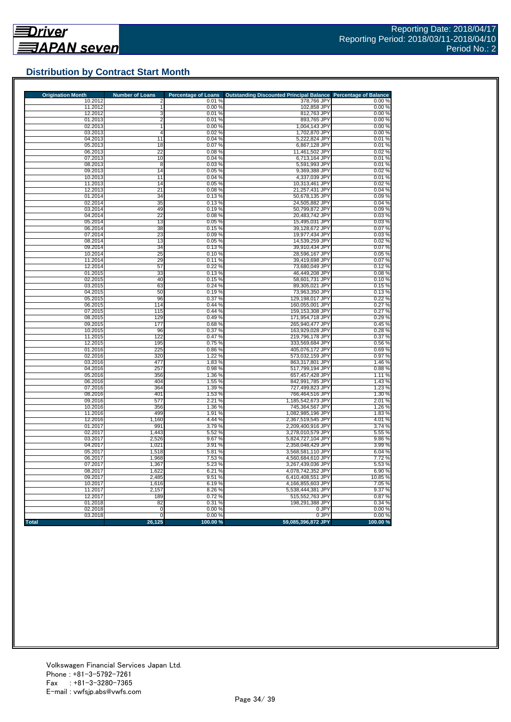

## **Distribution by Contract Start Month**

| <b>Origination Month</b> | <b>Number of Loans</b> | <b>Percentage of Loans</b> | <b>Outstanding Discounted Principal Balance</b> | <b>Percentage of Balance</b> |
|--------------------------|------------------------|----------------------------|-------------------------------------------------|------------------------------|
| 10.2012                  | 2                      | 0.01%                      | 378,766 JPY                                     | 0.00%                        |
| 11.2012                  |                        | 0.00%                      | 102,858 JPY                                     | 0.00%                        |
| 12.2012<br>01.2013       | 3<br>$\overline{2}$    | 0.01%<br>0.01%             | 812,763 JPY                                     | 0.00%<br>0.00%               |
| 02.2013                  | 1                      | 0.00%                      | 893,765 JPY<br>1,004,143 JPY                    | 0.00%                        |
| 03.2013                  | $\overline{4}$         | 0.02%                      | 1,702,870 JPY                                   | 0.00%                        |
| 04.2013                  | 11                     | 0.04%                      | 5,222,824 JPY                                   | 0.01%                        |
| 05.2013                  | 18                     | 0.07%                      | 6,867,128 JPY                                   | 0.01%                        |
| 06.2013                  | 22                     | 0.08%                      | 11,461,502 JPY                                  | 0.02%                        |
| 07.2013                  | 10                     | 0.04%                      | 6,713,164 JPY                                   | 0.01%                        |
| 08.2013                  | 8                      | 0.03%                      | 5,591,993 JPY                                   | 0.01%                        |
| 09.2013                  | 14                     | 0.05%                      | 9,369,388 JPY                                   | 0.02%                        |
| 10.2013                  | 11                     | 0.04%                      | 4,337,039 JPY                                   | 0.01%                        |
| 11.2013                  | 14                     | 0.05%                      | 10,313,461 JPY                                  | 0.02%                        |
| 12.2013                  | 21                     | 0.08%                      | 21,257,431 JPY                                  | 0.04%                        |
| 01.2014<br>02.2014       | 34<br>35               | 0.13%<br>0.13%             | 50,678,135 JPY<br>24,505,882 JPY                | 0.09%<br>0.04%               |
| 03.2014                  | 49                     | 0.19%                      | 50,799,872 JPY                                  | 0.09%                        |
| 04.2014                  | 22                     | 0.08%                      | 20,483,742 JPY                                  | 0.03%                        |
| 05.2014                  | 13                     | 0.05 %                     | 15,495,031 JPY                                  | 0.03%                        |
| 06.2014                  | 38                     | 0.15%                      | 39,128,672 JPY                                  | 0.07%                        |
| 07.2014                  | 23                     | 0.09%                      | 19,977,434 JPY                                  | 0.03%                        |
| 08.2014                  | 13                     | 0.05%                      | 14,539,259 JPY                                  | 0.02%                        |
| 09.2014                  | 34                     | 0.13%                      | 39,910,434 JPY                                  | 0.07%                        |
| 10.2014                  | 25                     | 0.10%                      | 28,596,167 JPY                                  | 0.05%                        |
| 11.2014                  | 29                     | 0.11%                      | 39,419,698 JPY                                  | 0.07%                        |
| 12.2014                  | 57                     | 0.22%                      | 73,680,049 JPY                                  | 0.12%                        |
| 01.2015                  | 33                     | 0.13%                      | 46,449,208 JPY                                  | 0.08%                        |
| 02.2015                  | 40                     | 0.15%                      | 58,601,731 JPY                                  | 0.10%                        |
| 03.2015                  | 63                     | 0.24%                      | 89,305,021 JPY                                  | 0.15%                        |
| 04.2015<br>05.2015       | 50<br>96               | 0.19%<br>0.37%             | 73,963,350 JPY<br>129,198,017 JPY               | 0.13%<br>0.22%               |
| 06.2015                  | 114                    | 0.44%                      | 160,055,001 JPY                                 | 0.27%                        |
| 07.2015                  | 115                    | 0.44%                      | 159,153,308 JPY                                 | 0.27%                        |
| 08.2015                  | 129                    | 0.49%                      | 171,954,718 JPY                                 | 0.29%                        |
| 09.2015                  | 177                    | 0.68%                      | 265,940,477 JPY                                 | 0.45%                        |
| 10.2015                  | 96                     | 0.37%                      | 163,929,028 JPY                                 | 0.28%                        |
| 11.2015                  | 122                    | 0.47%                      | 219,796,178 JPY                                 | 0.37%                        |
| 12.2015                  | 195                    | 0.75 %                     | 333,569,684 JPY                                 | 0.56 %                       |
| 01.2016                  | 225                    | 0.86 %                     | 405,076,172 JPY                                 | 0.69%                        |
| 02.2016                  | 320                    | 1.22 %                     | 573,032,159 JPY                                 | 0.97%                        |
| 03.2016                  | 477                    | 1.83%                      | 863,317,801 JPY                                 | 1.46 %                       |
| 04.2016                  | 257                    | 0.98%                      | 517,799,194 JPY                                 | 0.88%                        |
| 05.2016                  | 356                    | 1.36 %                     | 657,457,428 JPY                                 | 1.11%                        |
| 06.2016                  | 404<br>364             | 1.55 %                     | 842,991,785 JPY                                 | 1.43 %                       |
| 07.2016<br>08.2016       | 401                    | 1.39 %<br>1.53 %           | 727,499,823 JPY<br>766,464,516 JPY              | 1.23 %<br>1.30 %             |
| 09.2016                  | 577                    | 2.21 %                     | 1,185,542,673 JPY                               | 2.01%                        |
| 10.2016                  | 356                    | 1.36 %                     | 745,364,567 JPY                                 | 1.26 %                       |
| 11.2016                  | 499                    | 1.91 %                     | 1,082,985,196 JPY                               | 1.83%                        |
| 12.2016                  | 1,160                  | 4.44 %                     | 2,367,519,545 JPY                               | 4.01%                        |
| 01.2017                  | 991                    | 3.79%                      | 2,209,400,916 JPY                               | 3.74 %                       |
| 02.2017                  | 1.443                  | 5.52 %                     | 3,278,010,579 JPY                               | 5.55 %                       |
| 03.2017                  | 2,526                  | 9.67%                      | 5,824,727,104 JPY                               | 9.86 %                       |
| 04.2017                  | 1,021                  | 3.91 %                     | 2,358,048,429 JPY                               | 3.99%                        |
| 05.2017                  | 1,518                  | 5.81%                      | 3,568,581,110 JPY                               | 6.04%                        |
| 06.2017                  | 1,968                  | 7.53 %                     | 4,560,684,610 JPY                               | 7.72 %                       |
| 07.2017                  | 1,367                  | 5.23 %                     | 3,267,439,036 JPY                               | 5.53 %                       |
| 08.2017                  | 1,622                  | 6.21 %                     | 4,078,742,352 JPY                               | 6.90 %                       |
| 09.2017<br>10.2017       | 2,485<br>1,616         | 9.51 %<br>6.19%            | 6,410,408,551 JPY<br>4,166,855,603 JPY          | 10.85%<br>7.05 %             |
| 11.2017                  | 2,157                  | 8.26 %                     | 5,538,444,381 JPY                               | 9.37 %                       |
| 12.2017                  | 189                    | 0.72%                      | 515,552,763 JPY                                 | 0.87%                        |
| 01.2018                  | 82                     | 0.31%                      | 198,291,388 JPY                                 | 0.34%                        |
| 02.2018                  | 0                      | 0.00%                      | 0 JPY                                           | 0.00%                        |
| 03.2018                  | $\overline{0}$         | 0.00%                      | 0 JPY                                           | 0.00%                        |
| <b>Total</b>             | 26,125                 | 100.00%                    | 59,085,396,872 JPY                              | 100.00%                      |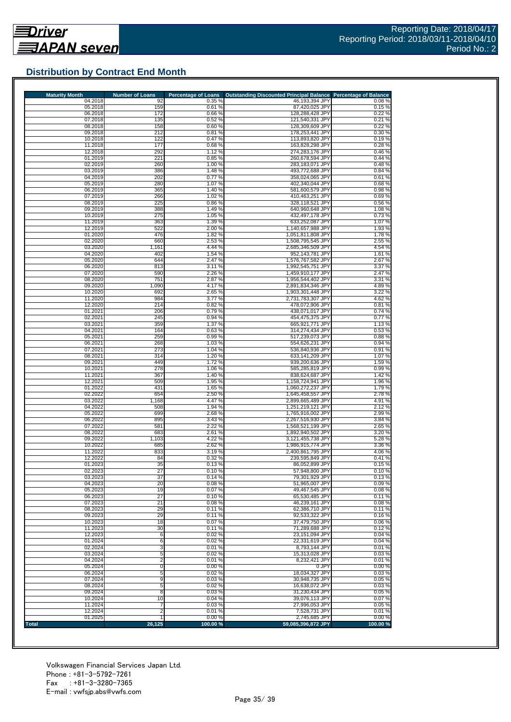## **Distribution by Contract End Month**

| <b>Maturity Month</b> | <b>Number of Loans</b>  | <b>Percentage of Loans</b> | Outstanding Discounted Principal Balance Percentage of Balance |                  |
|-----------------------|-------------------------|----------------------------|----------------------------------------------------------------|------------------|
| 04.2018<br>05.2018    | 92<br>159               | 0.35 %<br>0.61%            | 46,193,394 JPY<br>87,420,025 JPY                               | 0.08%<br>0.15%   |
| 06.2018               | 172                     | 0.66%                      | 128,288,428 JPY                                                | 0.22%            |
| 07.2018               | 135                     | 0.52%                      | 121,540,331 JPY                                                | 0.21%            |
| 08.2018               | 158                     | 0.60%                      | 128,309,609 JPY                                                | 0.22%            |
| 09.2018<br>10.2018    | 212<br>122              | 0.81%<br>0.47%             | 178,253,441 JPY<br>113,893,820 JPY                             | 0.30%<br>0.19%   |
| 11.2018               | 177                     | 0.68%                      | 163,828,298 JPY                                                | 0.28%            |
| 12.2018               | 292                     | 1.12 %                     | 274,283,176 JPY                                                | 0.46 %           |
| 01.2019               | 221                     | 0.85%                      | 260,678,594 JPY                                                | 0.44%            |
| 02.2019               | 260                     | 1.00 %                     | 283,183,071 JPY                                                | 0.48%            |
| 03.2019<br>04.2019    | 386<br>202              | 1.48%<br>0.77%             | 493,772,688 JPY<br>358,024,065 JPY                             | 0.84%<br>0.61%   |
| 05.2019               | 280                     | 1.07%                      | 402,340,044 JPY                                                | 0.68%            |
| 06.2019               | 365                     | 1.40 %                     | 581,600,579 JPY                                                | 0.98%            |
| 07.2019               | 266                     | 1.02 %                     | 410,463,251 JPY                                                | 0.69%            |
| 08.2019<br>09.2019    | 225<br>388              | 0.86 %<br>1.49%            | 328,118,521 JPY<br>640,960,648 JPY                             | 0.56 %<br>1.08%  |
| 10.2019               | 275                     | 1.05 %                     | 432,497,178 JPY                                                | 0.73%            |
| 11.2019               | 363                     | 1.39 %                     | 633,252,087 JPY                                                | 1.07%            |
| 12.2019               | 522                     | 2.00 %                     | 1,140,657,988 JPY                                              | 1.93%            |
| 01.2020               | 476                     | 1.82 %                     | 1,051,811,808 JPY                                              | 1.78%            |
| 02.2020<br>03.2020    | 660<br>1,161            | 2.53 %<br>4.44 %           | 1,508,795,545 JPY<br>2,685,346,509 JPY                         | 2.55 %<br>4.54 % |
| 04.2020               | 402                     | 1.54 %                     | 952,143,781 JPY                                                | 1.61 %           |
| 05.2020               | 644                     | 2.47 %                     | 1,576,767,582 JPY                                              | 2.67%            |
| 06.2020               | 813                     | 3.11%                      | 1,992,545,751 JPY                                              | 3.37 %           |
| 07.2020               | 590                     | 2.26 %                     | 1,459,910,177 JPY                                              | 2.47 %           |
| 08.2020<br>09.2020    | 751<br>1,090            | 2.87%<br>4.17%             | 1,956,544,402 JPY<br>2,891,834,346 JPY                         | 3.31 %<br>4.89%  |
| 10.2020               | 692                     | 2.65 %                     | 1,903,301,448 JPY                                              | 3.22 %           |
| 11.2020               | 984                     | 3.77%                      | 2,731,783,307 JPY                                              | 4.62%            |
| 12.2020               | 214                     | 0.82%                      | 478,072,906 JPY                                                | 0.81%            |
| 01.2021               | 206                     | 0.79%                      | 438,071,017 JPY                                                | 0.74%            |
| 02.2021<br>03.2021    | 245<br>359              | 0.94 %<br>1.37 %           | 454,475,375 JPY<br>665,921,771 JPY                             | 0.77%<br>1.13 %  |
| 04.2021               | 164                     | 0.63%                      | 314,274,434 JPY                                                | 0.53%            |
| 05.2021               | 259                     | 0.99%                      | 517,239,073 JPY                                                | 0.88%            |
| 06.2021               | 268                     | 1.03 %                     | 554,626,231 JPY                                                | 0.94 %           |
| 07.2021<br>08.2021    | 273<br>314              | 1.04 %<br>1.20 %           | 536,840,936 JPY<br>633,141,209 JPY                             | 0.91%<br>1.07%   |
| 09.2021               | 449                     | 1.72 %                     | 939,200,636 JPY                                                | 1.59 %           |
| 10.2021               | 278                     | 1.06 %                     | 585,285,819 JPY                                                | 0.99%            |
| 11.2021               | 367                     | 1.40 %                     | 838,624,687 JPY                                                | 1.42 %           |
| 12.2021               | 509                     | 1.95 %                     | 1,158,724,941 JPY                                              | 1.96 %           |
| 01.2022<br>02.2022    | 431<br>654              | 1.65 %<br>2.50 %           | 1,060,272,237 JPY<br>1,645,458,557 JPY                         | 1.79%<br>2.78%   |
| 03.2022               | 1,168                   | 4.47 %                     | 2,899,665,489 JPY                                              | 4.91 %           |
| 04.2022               | 508                     | 1.94 %                     | 1,251,219,121 JPY                                              | 2.12%            |
| 05.2022               | 699                     | 2.68%                      | 1,765,916,002 JPY                                              | 2.99%            |
| 06.2022<br>07.2022    | 895<br>581              | 3.43%<br>2.22 %            | 2,267,516,930 JPY<br>1,568,521,199 JPY                         | 3.84 %<br>2.65 % |
| 08.2022               | 683                     | 2.61%                      | 1,892,940,502 JPY                                              | 3.20 %           |
| 09.2022               | 1,103                   | 4.22 %                     | 3,121,455,738 JPY                                              | 5.28 %           |
| 10.2022               | 685                     | 2.62 %                     | 1,986,915,774 JPY                                              | 3.36 %           |
| 11.2022               | 833                     | 3.19%                      | 2,400,861,795 JPY                                              | 4.06%            |
| 12.2022<br>01.2023    | 84<br>35                | 0.32 %<br>0.13%            | 239,595,849 JPY<br>86,052,899 JPY                              | 0.41%<br>0.15%   |
| 02.2023               | 27                      | 0.10%                      | 57,948,800 JPY                                                 | 0.10%            |
| 03.2023               | 37                      | 0.14%                      | 79,301,929 JPY                                                 | 0.13%            |
| 04.2023               | 20                      | 0.08%                      | 51,965,007 JPY                                                 | 0.09%            |
| 05.2023<br>06.2023    | 19<br>27                | 0.07%<br>0.10%             | 49,467,545 JPY<br>65,530,485 JPY                               | 0.08%<br>0.11%   |
| 07.2023               | 21                      | 0.08%                      | 46,239,161 JPY                                                 | 0.08%            |
| 08.2023               | 29                      | 0.11%                      | 62.386.710 JPY                                                 | 0.11%            |
| 09.2023               | 29                      | 0.11%                      | 92,533,322 JPY                                                 | 0.16%            |
| 10.2023               | 18                      | 0.07%                      | 37,479,750 JPY                                                 | 0.06%            |
| 11.2023<br>12.2023    | 30<br>6                 | 0.11%<br>0.02%             | 71,289,688 JPY<br>23,151,094 JPY                               | 0.12%<br>0.04%   |
| 01.2024               | 6                       | 0.02%                      | 22,331,619 JPY                                                 | 0.04%            |
| 02.2024               | 3                       | 0.01%                      | 8,793,144 JPY                                                  | 0.01%            |
| 03.2024               | 5                       | 0.02%                      | 15,313,028 JPY                                                 | 0.03%            |
| 04.2024               | $\overline{\mathbf{c}}$ | 0.01%                      | 8,232,421 JPY                                                  | 0.01%            |
| 05.2024<br>06.2024    | $\overline{0}$<br>5     | 0.00%<br>0.02%             | 0 JPY<br>18,034,327 JPY                                        | 0.00%<br>0.03%   |
| 07.2024               | 9                       | 0.03%                      | 30,948,735 JPY                                                 | 0.05%            |
| 08.2024               | 5                       | 0.02%                      | 16,638,072 JPY                                                 | 0.03%            |
| 09.2024               | 8                       | 0.03%                      | 31,230,434 JPY                                                 | 0.05%            |
| 10.2024               | 10                      | 0.04 %                     | 39,076,113 JPY                                                 | 0.07%            |
| 11.2024               | 7                       | 0.03%                      | 27,996,053 JPY<br>7,528,731 JPY                                | 0.05%<br>0.01%   |
|                       |                         |                            |                                                                |                  |
| 12.2024<br>01.2025    | $\overline{2}$          | 0.01%<br>0.00%             | 2,745,685 JPY                                                  | 0.00%            |

Volkswagen Financial Services Japan Ltd. Phone : +81-3-5792-7261 Fax : +81-3-3280-7365 E-mail : vwfsjp.abs@vwfs.com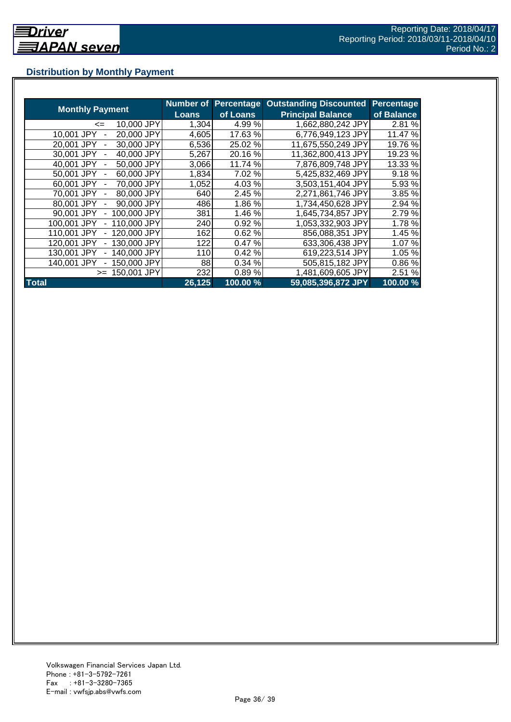## **Distribution by Monthly Payment**

|                            | <b>Number of</b> | <b>Percentage</b> | <b>Outstanding Discounted</b> | Percentage |
|----------------------------|------------------|-------------------|-------------------------------|------------|
| <b>Monthly Payment</b>     | Loans            | of Loans          | <b>Principal Balance</b>      | of Balance |
| 10,000 JPY<br><=           | 1,304            | 4.99%             | 1,662,880,242 JPY             | 2.81 %     |
| 20,000 JPY<br>10.001 JPY   | 4,605            | 17.63 %           | 6,776,949,123 JPY             | 11.47 %    |
| 30,000 JPY<br>20.001 JPY   | 6,536            | 25.02 %           | 11,675,550,249 JPY            | 19.76 %    |
| 40,000 JPY<br>30.001 JPY   | 5,267            | 20.16 %           | 11,362,800,413 JPY            | 19.23 %    |
| 50,000 JPY<br>40.001 JPY   | 3,066            | 11.74 %           | 7,876,809,748 JPY             | 13.33 %    |
| 60,000 JPY<br>50,001 JPY   | 1,834            | 7.02 %            | 5,425,832,469 JPY             | 9.18%      |
| 70,000 JPY<br>60.001 JPY   | 1,052            | 4.03%             | 3,503,151,404 JPY             | 5.93 %     |
| 80,000 JPY<br>70,001 JPY   | 640              | 2.45 %            | 2,271,861,746 JPY             | 3.85 %     |
| 90,000 JPY<br>80,001 JPY   | 486              | 1.86%             | 1,734,450,628 JPY             | 2.94 %     |
| 100,000 JPY<br>90,001 JPY  | 381              | 1.46 %            | 1,645,734,857 JPY             | 2.79%      |
| 110,000 JPY<br>100.001 JPY | 240              | 0.92 %            | 1,053,332,903 JPY             | 1.78%      |
| 120,000 JPY<br>110.001 JPY | 162              | 0.62%             | 856,088,351 JPY               | 1.45 %     |
| 130,000 JPY<br>120,001 JPY | 122              | 0.47%             | 633,306,438 JPY               | 1.07%      |
| 140,000 JPY<br>130.001 JPY | 110              | 0.42%             | 619,223,514 JPY               | 1.05 %     |
| 140.001 JPY<br>50,000 JPY  | 88               | 0.34%             | 505,815,182 JPY               | 0.86%      |
| 150,001 JPY<br>$>=$        | 232              | 0.89%             | 1,481,609,605 JPY             | 2.51 %     |
| <b>Total</b>               | 26,125           | 100.00 %          | 59,085,396,872 JPY            | 100.00%    |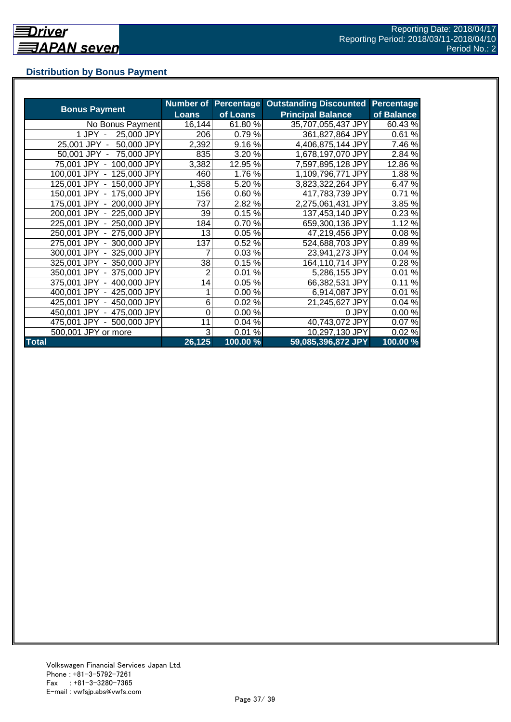## **Distribution by Bonus Payment**

|                            | <b>Number of</b> |          | <b>Percentage Outstanding Discounted</b> | <b>Percentage</b> |
|----------------------------|------------------|----------|------------------------------------------|-------------------|
| <b>Bonus Payment</b>       | <b>Loans</b>     | of Loans | <b>Principal Balance</b>                 | of Balance        |
| No Bonus Payment           | 16,144           | 61.80%   | 35,707,055,437 JPY                       | 60.43%            |
| 25,000 JPY<br>1 JPY -      | 206              | 0.79%    | 361,827,864 JPY                          | 0.61%             |
| 50,000 JPY<br>25,001 JPY - | 2,392            | 9.16%    | 4,406,875,144 JPY                        | 7.46 %            |
| 50,001 JPY - 75,000 JPY    | 835              | 3.20 %   | 1,678,197,070 JPY                        | 2.84 %            |
| 75,001 JPY - 100,000 JPY   | 3,382            | 12.95 %  | 7,597,895,128 JPY                        | 12.86 %           |
| 100,001 JPY - 125,000 JPY  | 460              | 1.76 %   | 1,109,796,771 JPY                        | 1.88%             |
| 125,001 JPY - 150,000 JPY  | 1,358            | 5.20%    | 3,823,322,264 JPY                        | 6.47%             |
| 150,001 JPY - 175,000 JPY  | 156              | 0.60%    | 417,783,739 JPY                          | 0.71%             |
| 175,001 JPY - 200,000 JPY  | 737              | 2.82 %   | 2,275,061,431 JPY                        | 3.85 %            |
| 200,001 JPY - 225,000 JPY  | 39               | 0.15%    | 137,453,140 JPY                          | $0.23\%$          |
| 225,001 JPY - 250,000 JPY  | 184              | 0.70%    | 659,300,136 JPY                          | 1.12%             |
| 250,001 JPY - 275,000 JPY  | 13               | 0.05%    | 47,219,456 JPY                           | 0.08%             |
| 275,001 JPY - 300,000 JPY  | 137              | 0.52%    | 524,688,703 JPY                          | 0.89%             |
| 300,001 JPY - 325,000 JPY  | 7                | 0.03%    | 23,941,273 JPY                           | 0.04%             |
| 325,001 JPY - 350,000 JPY  | 38               | 0.15%    | 164,110,714 JPY                          | 0.28%             |
| 350,001 JPY - 375,000 JPY  | 2                | 0.01%    | 5,286,155 JPY                            | 0.01%             |
| 375,001 JPY - 400,000 JPY  | 14               | 0.05%    | 66,382,531 JPY                           | 0.11%             |
| 400,001 JPY - 425,000 JPY  |                  | 0.00%    | 6,914,087 JPY                            | 0.01%             |
| 425,001 JPY - 450,000 JPY  | 6                | 0.02%    | 21,245,627 JPY                           | 0.04%             |
| 450,001 JPY - 475,000 JPY  |                  | 0.00%    | 0 JPY                                    | 0.00%             |
| 475,001 JPY - 500,000 JPY  | 11               | 0.04%    | 40,743,072 JPY                           | 0.07%             |
| 500,001 JPY or more        | 3                | 0.01%    | 10,297,130 JPY                           | 0.02%             |
| <b>Total</b>               | 26,125           | 100.00 % | 59,085,396,872 JPY                       | 100.00 %          |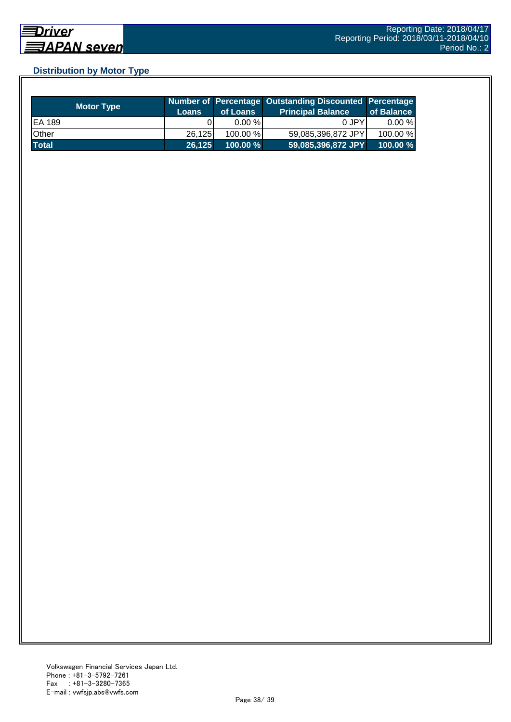## **Distribution by Motor Type**

| <b>Motor Type</b> | <b>Loans</b> | of Loans    | Number of Percentage Outstanding Discounted Percentage<br>Principal Balance <sup>'</sup> | of Balance |
|-------------------|--------------|-------------|------------------------------------------------------------------------------------------|------------|
| EA 189            |              | $0.00 \%$   | 0 JPY                                                                                    | $0.00 \%$  |
| Other             | 26.125       | $100.00\%$  | 59,085,396,872 JPY                                                                       | 100.00 %   |
| <b>Total</b>      | 26,125       | $100.00 \%$ | 59,085,396,872 JPY                                                                       | 100.00%    |